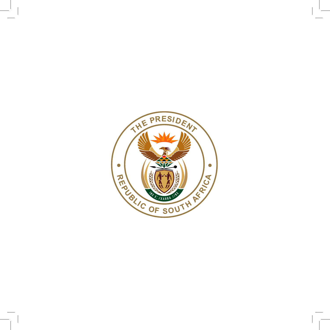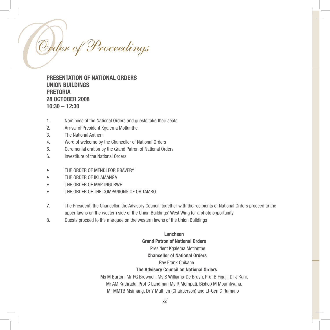

# **PRESENTATION OF NATIONAL ORDERS UNION BUILDINGS PRETORIA 28 OCTOBER 2008 10:30 − 12:30**

- 1. Nominees of the National Orders and guests take their seats
- 2. Arrival of President Kgalema Motlanthe
- 3. The National Anthem
- 4. Word of welcome by the Chancellor of National Orders
- 5. Ceremonial oration by the Grand Patron of National Orders
- 6. Investiture of the National Orders
- THE ORDER OF MENDI FOR BRAVERY
- THE ORDER OF IKHAMANGA
- THE ORDER OF MAPUNGUBWE
- THE ORDER OF THE COMPANIONS OF OR TAMBO
- 7. The President, the Chancellor, the Advisory Council, together with the recipients of National Orders proceed to the upper lawns on the western side of the Union Buildings' West Wing for a photo opportunity
- 8. Guests proceed to the marquee on the western lawns of the Union Buildings

### **Luncheon**

#### **Grand Patron of National Orders**

#### President Kgalema Motlanthe

#### **Chancellor of National Orders**

### Rev Frank Chikane

#### **The Advisory Council on National Orders**

 Ms M Burton, Mr FG Brownell, Ms S Williams-De Bruyn, Prof B Figaji, Dr J Kani, Mr AM Kathrada, Prof C Landman Ms R Mompati, Bishop M Mpumlwana, Mr MMTB Msimang, Dr Y Muthien (Chairperson) and Lt-Gen G Ramano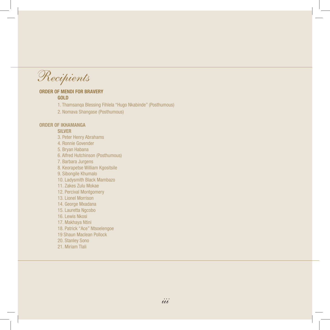Recipients

# **ORDER OF MENDI FOR BRAVERY**

**GOLD**

1. Thamsanqa Blessing Fihlela "Hugo Nkabinde" (Posthumous)

 2. Nomava Shangase (Posthumous)

### **ORDER OF IKHAMANGA**

#### **SILVER**

- 3. Peter Henry Abrahams 4. Ronnie Govender 5. Bryan Habana 6. Alfred Hutchinson (Posthumous)
- 7. Barbara Jurgens
- 8. Keorapetse William Kgositsile
- 9. Sibongile Khumalo
- 10. Ladysmith Black Mambazo
- 11. Zakes Zulu Mokae
- 12. Percival Montgomery
- 13. Lionel Morrison
- 14. George Mxadana
- 15. Lauretta Ngcobo
- 16. Lewis Nkosi
- 17. Makhaya Ntini
- 18. Patrick "Ace" Ntsoelengoe
- 19 Shaun Maclean Pollock
- 20. Stanley Sono
- 21. Miriam Tlali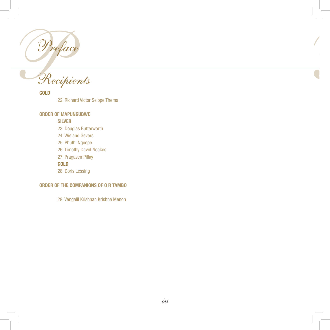

Recipients

**GOLD**

 22. Richard Victor Selope Thema

### **ORDER OF MAPUNGUBWE**

### **SILVER**

- 23. Douglas Butterworth 24. Wieland Gevers 25. Phuthi Ngoepe 26. Timothy David Noakes
- 
- 27. Pragasen Pillay

# **GOLD**

 28. Doris Lessing

## **ORDER OF THE COMPANIONS OF O R TAMBO**

 29. Vengalil Krishnan Krishna Menon

 $\frac{1}{2}$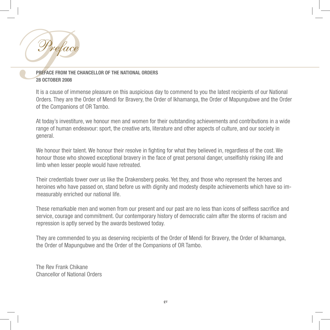

# **PREFACE FROM THE CHANCELLOR OF THE NATIONAL ORDERS 28 OCTOBER 2008**

It is a cause of immense pleasure on this auspicious day to commend to you the latest recipients of our National Orders. They are the Order of Mendi for Bravery, the Order of Ikhamanga, the Order of Mapungubwe and the Order of the Companions of OR Tambo.

At today's investiture, we honour men and women for their outstanding achievements and contributions in a wide range of human endeavour: sport, the creative arts, literature and other aspects of culture, and our society in general.

We honour their talent. We honour their resolve in fighting for what they believed in, regardless of the cost. We honour those who showed exceptional bravery in the face of great personal danger, unselfishly risking life and limb when lesser people would have retreated.

Their credentials tower over us like the Drakensberg peaks. Yet they, and those who represent the heroes and heroines who have passed on, stand before us with dignity and modesty despite achievements which have so immeasurably enriched our national life.

These remarkable men and women from our present and our past are no less than icons of selfless sacrifice and service, courage and commitment. Our contemporary history of democratic calm after the storms of racism and repression is aptly served by the awards bestowed today.

They are commended to you as deserving recipients of the Order of Mendi for Bravery, the Order of Ikhamanga, the Order of Mapungubwe and the Order of the Companions of OR Tambo.

The Rev Frank Chikane Chancellor of National Orders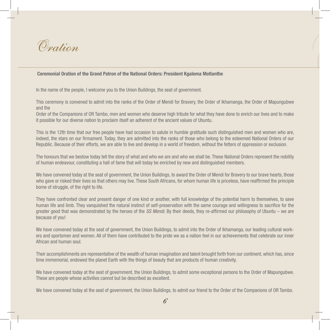

#### **Ceremonial Oration of the Grand Patron of the National Orders: President Kgalema Motlanthe**

In the name of the people, I welcome you to the Union Buildings, the seat of government.

This ceremony is convened to admit into the ranks of the Order of Mendi for Bravery, the Order of Ikhamanga, the Order of Mapungubwe and the

 $\overline{\mathcal{L}}$ 

Order of the Companions of OR Tambo, men and women who deserve high tribute for what they have done to enrich our lives and to make it possible for our diverse nation to proclaim itself an adherent of the ancient values of Ubuntu.

This is the 12th time that our free people have had occasion to salute in humble gratitude such distinguished men and women who are, indeed, the stars on our firmament. Today, they are admitted into the ranks of those who belong to the esteemed National Orders of our Republic. Because of their efforts, we are able to live and develop in a world of freedom, without the fetters of oppression or exclusion.

The honours that we bestow today tell the story of what and who we are and who we shall be. These National Orders represent the nobility of human endeavour, constituting a hall of fame that will today be enriched by new and distinguished members.

We have convened today at the seat of government, the Union Buildings, to award the Order of Mendi for Bravery to our brave hearts, those who gave or risked their lives so that others may live. These South Africans, for whom human life is priceless, have reaffirmed the principle borne of struggle, of the right to life.

They have confronted clear and present danger of one kind or another, with full knowledge of the potential harm to themselves, to save human life and limb. They vanquished the natural instinct of self-preservation with the same courage and willingness to sacrifice for the greater good that was demonstrated by the heroes of the *SS Mendi*. By their deeds, they re-affirmed our philosophy of Ubuntu – we are because of you!

We have convened today at the seat of government, the Union Buildings, to admit into the Order of Ikhamanga, our leading cultural workers and sportsmen and women. All of them have contributed to the pride we as a nation feel in our achievements that celebrate our inner African and human soul.

Their accomplishments are representative of the wealth of human imagination and talent brought forth from our continent, which has, since time immemorial, endowed the planet Earth with the things of beauty that are products of human creativity.

We have convened today at the seat of government, the Union Buildings, to admit some exceptional persons to the Order of Mapungubwe. These are people whose activities cannot but be described as excellent.

We have convened today at the seat of government, the Union Buildings, to admit our friend to the Order of the Companions of OR Tambo.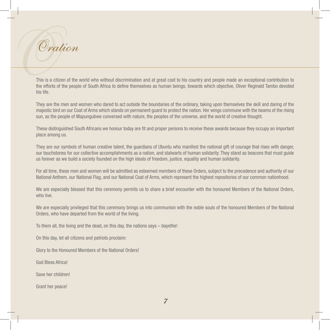OOration

This is a citizen of the world who without discrimination and at great cost to his country and people made an exceptional contribution to the efforts of the people of South Africa to define themselves as human beings, towards which objective, Oliver Reginald Tambo devoted his life.

They are the men and women who dared to act outside the boundaries of the ordinary, taking upon themselves the skill and daring of the majestic bird on our Coat of Arms which stands on permanent guard to protect the nation. Her wings commune with the beams of the rising sun, as the people of Mapungubwe conversed with nature, the peoples of the universe, and the world of creative thought.

These distinguished South Africans we honour today are fit and proper persons to receive these awards because they occupy an important place among us.

They are our symbols of human creative talent, the guardians of Ubuntu who manifest the national gift of courage that rises with danger, our touchstones for our collective accomplishments as a nation, and stalwarts of human solidarity. They stand as beacons that must guide us forever as we build a society founded on the high ideals of freedom, justice, equality and human solidarity.

For all time, these men and women will be admitted as esteemed members of these Orders, subject to the precedence and authority of our National Anthem, our National Flag, and our National Coat of Arms, which represent the highest repositories of our common nationhood.

We are especially blessed that this ceremony permits us to share a brief encounter with the honoured Members of the National Orders, who live.

We are especially privileged that this ceremony brings us into communion with the noble souls of the honoured Members of the National Orders, who have departed from the world of the living.

To them all, the living and the dead, on this day, the nations says – bayethe!

On this day, let all citizens and patriots proclaim:

Glory to the Honoured Members of the National Orders!

God Bless Africa!

Save her children!

Grant her peace!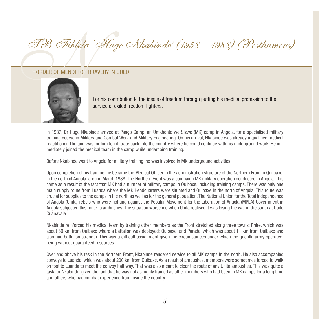# TB Fihlela 'Hugo TB Fihlela 'Hugo Nkabinde' (1958 – 1988) (Posthumous)



For his contribution to the ideals of freedom through putting his medical profession to the service of exiled freedom fighters.

In 1987, Dr Hugo Nkabinde arrived at Pango Camp, an Umkhonto we Sizwe (MK) camp in Angola, for a specialised military training course in Military and Combat Work and Military Engineering. On his arrival, Nkabinde was already a qualified medical practitioner. The aim was for him to infiltrate back into the country where he could continue with his underground work. He immediately joined the medical team in the camp while undergoing training.

Before Nkabinde went to Angola for military training, he was involved in MK underground activities.

Upon completion of his training, he became the Medical Officer in the administration structure of the Northern Front in Quilbaxe, in the north of Angola, around March 1988. The Northern Front was a campaign MK military operation conducted in Angola. This came as a result of the fact that MK had a number of military camps in Quibaxe, including training camps. There was only one main supply route from Luanda where the MK Headquarters were situated and Quibaxe in the north of Angola. This route was crucial for supplies to the camps in the north as well as for the general population. The National Union for the Total Independence of Angola (Unita) rebels who were fighting against the Popular Movement for the Liberation of Angola (MPLA) Government in Angola subjected this route to ambushes. The situation worsened when Unita realised it was losing the war in the south at Cuito Cuanavale.

Nkabinde reinforced his medical team by training other members as the Front stretched along three towns: Phire, which was about 60 km from Quibaxe where a battalion was deployed; Quibaxe; and Parade, which was about 11 km from Quibaxe and also had battalion strength. This was a difficult assignment given the circumstances under which the guerilla army operated, being without guaranteed resources.

Over and above his task in the Northern Front, Nkabinde rendered service to all MK camps in the north. He also accompanied convoys to Luanda, which was about 200 km from Quibaxe. As a result of ambushes, members were sometimes forced to walk on foot to Luanda to meet the convoy half way. That was also meant to clear the route of any Unita ambushes. This was quite a task for Nkabinde, given the fact that he was not as highly trained as other members who had been in MK camps for a long time and others who had combat experience from inside the country.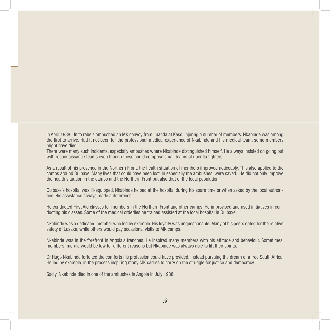In April 1988, Unita rebels ambushed an MK convoy from Luanda at Keso, injuring a number of members. Nkabinde was among the first to arrive. Had it not been for the professional medical experience of Nkabinde and his medical team, some members might have died.

There were many such incidents, especially ambushes where Nkabinde distinguished himself. He always insisted on going out with reconnaissance teams even though these could comprise small teams of guerilla fighters.

As a result of his presence in the Northern Front, the health situation of members improved noticeably. This also applied to the camps around Quibaxe. Many lives that could have been lost, in especially the ambushes, were saved. He did not only improve the health situation in the camps and the Northern Front but also that of the local population.

Quibaxe's hospital was ill-equipped. Nkabinde helped at the hospital during his spare time or when asked by the local authorities. His assistance always made a difference.

He conducted First Aid classes for members in the Northern Front and other camps. He improvised and used initiatives in conducting his classes. Some of the medical orderlies he trained assisted at the local hospital in Quibaxe.

Nkabinde was a dedicated member who led by example. His loyalty was unquestionable. Many of his peers opted for the relative safety of Lusaka, while others would pay occasional visits to MK camps.

Nkabinde was in the forefront in Angola's trenches. He inspired many members with his attitude and behaviour. Sometimes, members' morale would be low for different reasons but Nkabinde was always able to lift their spirits.

Dr Hugo Nkabinde forfeited the comforts his profession could have provided, instead pursuing the dream of a free South Africa. He led by example, in the process inspiring many MK cadres to carry on the struggle for justice and democracy.

Sadly, Nkabinde died in one of the ambushes in Angola in July 1988.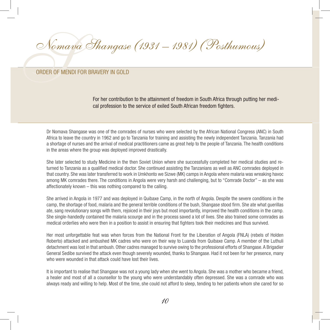Noma<br>ORDER OF MEN Nomava Shangase (1931 – 1981) (Posthumous)

## Order of Mendi for Bravery IN Gold

For her contribution to the attainment of freedom in South Africa through putting her medical profession to the service of exiled South African freedom fighters.

Dr Nomava Shangase was one of the comrades of nurses who were selected by the African National Congress (ANC) in South Africa to leave the country in 1962 and go to Tanzania for training and assisting the newly independent Tanzania. Tanzania had a shortage of nurses and the arrival of medical practitioners came as great help to the people of Tanzania. The health conditions in the areas where the group was deployed improved drastically.

She later selected to study Medicine in the then Soviet Union where she successfully completed her medical studies and returned to Tanzania as a qualified medical doctor. She continued assisting the Tanzanians as well as ANC comrades deployed in that country. She was later transferred to work in Umkhonto we Sizwe (MK) camps in Angola where malaria was wreaking havoc among MK comrades there. The conditions in Angola were very harsh and challenging, but to "Comrade Doctor" – as she was affectionately known – this was nothing compared to the calling.

She arrived in Angola in 1977 and was deployed in Quibaxe Camp, in the north of Angola. Despite the severe conditions in the camp, the shortage of food, malaria and the general terrible conditions of the bush, Shangase stood firm. She ate what guerillas ate, sang revolutionary songs with them, rejoiced in their joys but most importantly, improved the health conditions in the camp. She single-handedly contained the malaria scourge and in the process saved a lot of lives. She also trained some comrades as medical orderlies who were then in a position to assist in ensuring that fighters took their medicines and thus survived.

Her most unforgettable feat was when forces from the National Front for the Liberation of Angola (FNLA) (rebels of Holden Roberto) attacked and ambushed MK cadres who were on their way to Luanda from Quibaxe Camp. A member of the Luthuli detachment was lost in that ambush. Other cadres managed to survive owing to the professional efforts of Shangase.A Brigadier General Sedibe survived the attack even though severely wounded, thanks to Shangase. Had it not been for her presence, many who were wounded in that attack could have lost their lives.

It is important to realise that Shangase was not a young lady when she went to Angola. She was a mother who became a friend, a healer and most of all a counsellor to the young who were understandably often depressed. She was a comrade who was always ready and willing to help. Most of the time, she could not afford to sleep, tending to her patients whom she cared for so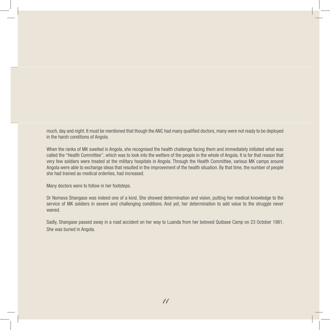much, day and night. It must be mentioned that though the ANC had many qualified doctors, many were not ready to be deployed in the harsh conditions of Angola.

When the ranks of MK swelled in Angola, she recognised the health challenge facing them and immediately initiated what was called the "Health Committee", which was to look into the welfare of the people in the whole of Angola. It is for that reason that very few soldiers were treated at the military hospitals in Angola. Through the Health Committee, various MK camps around Angola were able to exchange ideas that resulted in the improvement of the health situation. By that time, the number of people she had trained as medical orderlies, had increased.

Many doctors were to follow in her footsteps.

Dr Nomava Shangase was indeed one of a kind. She showed determination and vision, putting her medical knowledge to the service of MK soldiers in severe and challenging conditions. And yet, her determination to add value to the struggle never waned.

Sadly, Shangase passed away in a road accident on her way to Luanda from her beloved Quibaxe Camp on 23 October 1981. She was buried in Angola.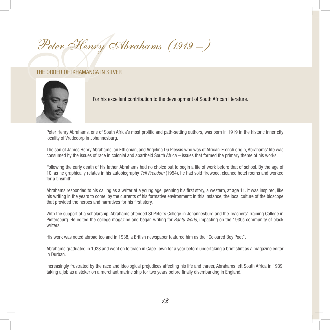# Peter Henry & Peter Henry Abrahams (1919 – )



For his excellent contribution to the development of South African literature.

Peter Henry Abrahams, one of South Africa's most prolific and path-setting authors, was born in 1919 in the historic inner city locality of Vrededorp in Johannesburg.

The son of James Henry Abrahams, an Ethiopian, and Angelina Du Plessis who was of African-French origin, Abrahams' life was consumed by the issues of race in colonial and apartheid South Africa – issues that formed the primary theme of his works.

Following the early death of his father, Abrahams had no choice but to begin a life of work before that of school. By the age of 10, as he graphically relates in his autobiography *Tell Freedom* (1954), he had sold firewood, cleaned hotel rooms and worked for a tinsmith.

Abrahams responded to his calling as a writer at a young age, penning his first story, a western, at age 11. It was inspired, like his writing in the years to come, by the currents of his formative environment: in this instance, the local culture of the bioscope that provided the heroes and narratives for his first story.

With the support of a scholarship, Abrahams attended St Peter's College in Johannesburg and the Teachers' Training College in Pietersburg. He edited the college magazine and began writing for *Bantu World*, impacting on the 1930s community of black writers.

His work was noted abroad too and in 1938, a British newspaper featured him as the "Coloured Boy Poet".

Abrahams graduated in 1938 and went on to teach in Cape Town for a year before undertaking a brief stint as a magazine editor in Durban.

Increasingly frustrated by the race and ideological prejudices affecting his life and career, Abrahams left South Africa in 1939, taking a job as a stoker on a merchant marine ship for two years before finally disembarking in England.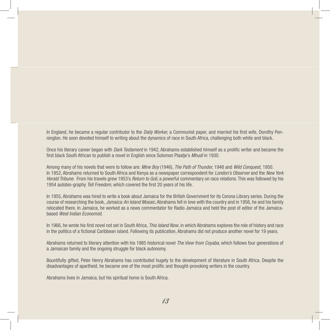In England, he became a regular contributor to the *Daily Worker,* a Communist paper, and married his first wife, Dorothy Pennington. He soon devoted himself to writing about the dynamics of race in South Africa, challenging both white and black.

Once his literary career began with *Dark Testament* in 1942, Abrahams established himself as a prolific writer and became the first black South African to publish a novel in English since Solomon Plaatje's *Mhudi* in 1930.

Among many of his novels that were to follow are: *Mine Boy* (1946), *The Path of Thunder,* 1948 and *Wild Conquest,* 1950. In 1952, Abrahams returned to South Africa and Kenya as a newspaper correspondent for *London's Observer* and the *New York Herald Tribune*. From his travels grew 1953's *Return to Goli*, a powerful commentary on race relations. This was followed by his 1954 autobio-graphy *Tell Freedom*, which covered the first 20 years of his life.

In 1955, Abrahams was hired to write a book about Jamaica for the British Government for its Corona Library series. During the course of researching the book, *Jamaica: An Island Mosaic*, Abrahams fell in love with the country and in 1956, he and his family relocated there. In Jamaica, he worked as a news commentator for Radio Jamaica and held the post of editor of the Jamaicabased *West Indian Economist*.

In 1966, he wrote his first novel not set in South Africa, *This Island Now*, in which Abrahams explores the role of history and race in the politics of a fictional Caribbean island. Following its publication, Abrahams did not produce another novel for 19 years.

Abrahams returned to literary attention with his 1985 historical novel *The View from Coyaba*, which follows four generations of a Jamaican family and the ongoing struggle for black autonomy.

Bountifully gifted, Peter Henry Abrahams has contributed hugely to the development of literature in South Africa. Despite the disadvantages of apartheid, he became one of the most prolific and thought-provoking writers in the country.

Abrahams lives in Jamaica, but his spiritual home is South Africa.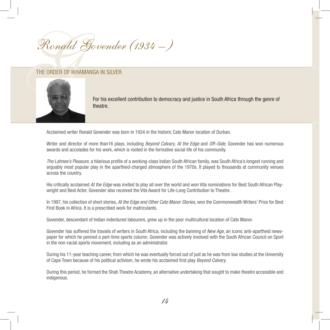Ronald Govender (1934 – )

## The Order of Ikhamanga in Silver



For his excellent contribution to democracy and justice in South Africa through the genre of theatre.

Acclaimed writer Ronald Govender was born in 1934 in the historic Cato Manor location of Durban.

Writer and director of more than16 plays, including *Beyond Calvary*, *At the Edge* and *Off–Side*, Govender has won numerous awards and accolades for his work, which is rooted in the formative social life of his community.

*The Lahnee's Pleasure*, a hilarious profile of a working-class Indian South African family, was South Africa's longest running and arguably most popular play in the apartheid-charged atmosphere of the 1970s. It played to thousands at community venues across the country.

His critically acclaimed *At the Edge* was invited to play all over the world and won Vita nominations for Best South African Playwright and Best Actor. Govender also received the Vita Award for Life-Long Contribution to Theatre.

In 1997, his collection of short stories, *At the Edge and Other Cato Manor Stories,* won the Commonwealth Writers' Prize for Best First Book in Africa. It is a prescribed work for matriculants.

Govender, descendant of Indian indentured labourers, grew up in the poor multicultural location of Cato Manor.

Govender has suffered the travails of writers in South Africa, including the banning of *New Age*, an iconic anti-apartheid newspaper for which he penned a part-time sports column. Govender was actively involved with the South African Council on Sport in the non-racial sports movement, including as an administrator.

During his 11-year teaching career, from which he was eventually forced out of just as he was from law studies at the University of Cape Town because of his political activism, he wrote his acclaimed first play *Beyond Calvary*.

During this period, he formed the Shah Theatre Academy, an alternative undertaking that sought to make theatre accessible and indigenous.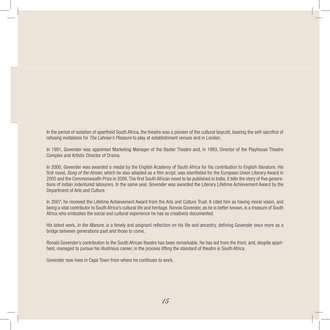In the period of isolation of apartheid South Africa, the theatre was a pioneer of the cultural boycott, bearing the self-sacrifice of refusing invitations for *The Lahnee's Pleasure* to play at establishment venues and in London.

In 1991, Govender was appointed Marketing Manager of the Baxter Theatre and, in 1993, Director of the Playhouse Theatre Complex and Artistic Director of Drama.

In 2000, Govender was awarded a medal by the English Academy of South Africa for his contribution to English literature. His first novel, *Song of the Atman*, which he also adapted as a film script, was shortlisted for the European Union Literary Award in 2005 and the Commonwealth Prize in 2006. The first South African novel to be published in India, it tells the story of five generations of Indian indentured labourers. In the same year, Govender was awarded the Literary Lifetime Achievement Award by the Department of Arts and Culture.

In 2007, he received the Lifetime Achievement Award from the Arts and Culture Trust. It cited him as having moral vision, and being a vital contributor to South Africa's cultural life and heritage. Ronnie Govender, as he is better known, is a treasure of South Africa who embodies the social and cultural experience he has so creatively documented.

His latest work, *In the Manure*, is a timely and poignant reflection on his life and ancestry, defining Govender once more as a bridge between generations past and those to come.

Ronald Govender's contribution to the South African theatre has been remarkable. He has led from the front, and, despite apartheid, managed to pursue his illustrious career, in the process lifting the standard of theatre in South Africa.

Govender now lives in Cape Town from where he continues to work.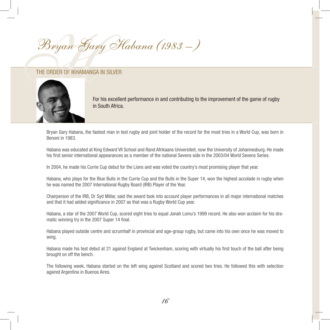HBryan Gary Habana (1983 – )

## The Order of Ikhamanga in Silver



For his excellent performance in and contributing to the improvement of the game of rugby in South Africa.

Bryan Gary Habana, the fastest man in test rugby and joint holder of the record for the most tries in a World Cup, was born in Benoni in 1983.

Habana was educated at King Edward VII School and Rand Afrikaans Universiteit, now the University of Johannesburg. He made his first senior international appearances as a member of the national Sevens side in the 2003/04 World Sevens Series.

In 2004, he made his Currie Cup debut for the Lions and was voted the country's most promising player that year.

Habana, who plays for the Blue Bulls in the Currie Cup and the Bulls in the Super 14, won the highest accolade in rugby when he was named the 2007 International Rugby Board (IRB) Player of the Year.

Chairperson of the IRB, Dr Syd Millar, said the award took into account player performances in all major international matches and that it had added significance in 2007 as that was a Rugby World Cup year.

Habana, a star of the 2007 World Cup, scored eight tries to equal Jonah Lomu's 1999 record. He also won acclaim for his dramatic winning try in the 2007 Super 14 final.

Habana played outside centre and scrumhalf in provincial and age-group rugby, but came into his own once he was moved to wing.

Habana made his test debut at 21 against England at Twickenham, scoring with virtually his first touch of the ball after being brought on off the bench.

The following week, Habana started on the left wing against Scotland and scored two tries. He followed this with selection against Argentina in Buenos Aires.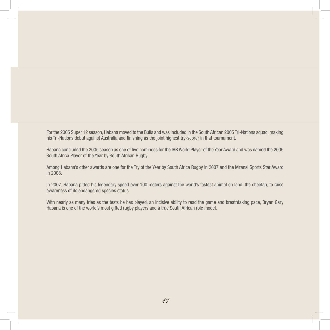For the 2005 Super 12 season, Habana moved to the Bulls and was included in the South African 2005 Tri-Nations squad, making his Tri-Nations debut against Australia and finishing as the joint highest try-scorer in that tournament.

Habana concluded the 2005 season as one of five nominees for the IRB World Player of the Year Award and was named the 2005 South Africa Player of the Year by South African Rugby.

Among Habana's other awards are one for the Try of the Year by South Africa Rugby in 2007 and the Mzansi Sports Star Award in 2008.

In 2007, Habana pitted his legendary speed over 100 meters against the world's fastest animal on land, the cheetah, to raise awareness of its endangered species status.

With nearly as many tries as the tests he has played, an incisive ability to read the game and breathtaking pace, Bryan Gary Habana is one of the world's most gifted rugby players and a true South African role model.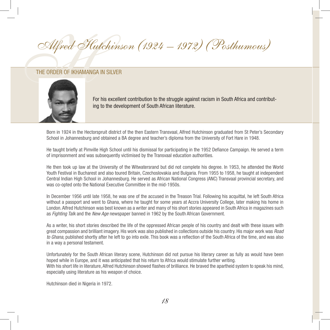Alfred Hu Alfred Hutchinson (1924 – 1972) (Posthumous)

## The Order of Ikhamanga in Silver



For his excellent contribution to the struggle against racism in South Africa and contributing to the development of South African literature.

Born in 1924 in the Hectorspruit district of the then Eastern Transvaal, Alfred Hutchinson graduated from St Peter's Secondary School in Johannesburg and obtained a BA degree and teacher's diploma from the University of Fort Hare in 1948.

He taught briefly at Pimville High School until his dismissal for participating in the 1952 Defiance Campaign. He served a term of imprisonment and was subsequently victimised by the Transvaal education authorities.

He then took up law at the University of the Witwatersrand but did not complete his degree. In 1953, he attended the World Youth Festival in Bucharest and also toured Britain, Czechoslovakia and Bulgaria. From 1955 to 1958, he taught at independent Central Indian High School in Johannesburg. He served as African National Congress (ANC) Transvaal provincial secretary, and was co-opted onto the National Executive Committee in the mid-1950s.

In December 1956 until late 1958, he was one of the accused in the Treason Trial. Following his acquittal, he left South Africa without a passport and went to Ghana, where he taught for some years at Accra University College, later making his home in London. Alfred Hutchinson was best known as a writer and many of his short stories appeared in South Africa in magazines such as *Fighting Talk* and the *New Age* newspaper banned in 1962 by the South African Government.

As a writer, his short stories described the life of the oppressed African people of his country and dealt with these issues with great compassion and brilliant imagery. His work was also published in collections outside his country. His major work was *Road to Ghana*, published shortly after he left to go into exile. This book was a reflection of the South Africa of the time, and was also in a way a personal testament.

Unfortunately for the South African literary scene, Hutchinson did not pursue his literary career as fully as would have been hoped while in Europe, and it was anticipated that his return to Africa would stimulate further writing. With his short life in literature, Alfred Hutchinson showed flashes of brilliance. He braved the apartheid system to speak his mind, especially using literature as his weapon of choice.

Hutchinson died in Nigeria in 1972.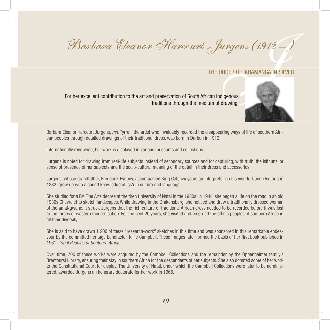Surgens (1912 –<br>JRDER OF IKHAMANGA IN SILVER<br>Jigenous Barbara Eleanor Harcourt Jurgens (1912 -)

## THE ORDER OF IKHAMANGA IN SILVER

For her excellent contribution to the art and preservation of South African indigenous traditions through the medium of drawing.



Barbara Eleanor Harcourt Jurgens, *née* Tyrrell, the artist who invaluably recorded the disappearing ways of life of southern African peoples through detailed drawings of their traditional dress, was born in Durban in 1912.

Internationally renowned, her work is displayed in various museums and collections.

Jurgens is noted for drawing from real-life subjects instead of secondary sources and for capturing, with truth, the isithunzi or sense of presence of her subjects and the socio-cultural meaning of the detail in their dress and accessories.

Jurgens, whose grandfather, Frederick Fynney, accompanied King Cetshwayo as an interpreter on his visit to Queen Victoria in 1882, grew up with a sound knowledge of isiZulu culture and language.

She studied for a BA Fine Arts degree at the then University of Natal in the 1930s. In 1944, she began a life on the road in an old 1930s Chevrolet to sketch landscapes. While drawing in the Drakensberg, she noticed and drew a traditionally dressed woman of the amaNgwane. It struck Jurgens that the rich culture of traditional African dress needed to be recorded before it was lost to the forces of western modernisation. For the next 20 years, she visited and recorded the ethnic peoples of southern Africa in all their diversity.

She is said to have drawn 1 200 of these "research-work" sketches in this time and was sponsored in this remarkable endeavour by the committed heritage benefactor, Killie Campbell. These images later formed the basis of her first book published in 1961, *Tribal Peoples of Southern Africa.*

Over time, 700 of these works were acquired by the Campbell Collections and the remainder by the Oppenheimer family's Brenthurst Library, ensuring their stay in southern Africa for the descendents of her subjects. She also donated some of her work to the Constitutional Court for display. The University of Natal, under which the Campbell Collections were later to be administered, awarded Jurgens an honorary doctorate for her work in 1965.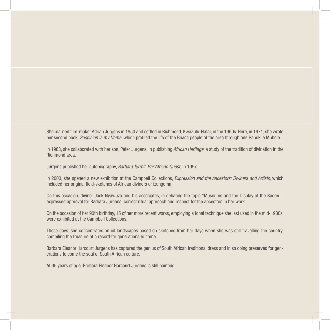She married film-maker Adrian Jurgens in 1950 and settled in Richmond, KwaZulu-Natal, in the 1960s. Here, in 1971, she wrote her second book, *Suspicion is my Name*, which profiled the life of the Bhaca people of the area through one Banukile Mbhele.

In 1983, she collaborated with her son, Peter Jurgens, in publishing *African Heritage*, a study of the tradition of divination in the Richmond area.

Jurgens published her autobiography, *Barbara Tyrrell: Her African Quest,* in 1997.

In 2000, she opened a new exhibition at the Campbell Collections, *Expression and the Ancestors: Diviners and Artists*, which included her original field-sketches of African diviners or izangoma.

On this occasion, diviner Jack Nyawuza and his associates, in debating the topic "Museums and the Display of the Sacred", expressed approval for Barbara Jurgens' correct ritual approach and respect for the ancestors in her work.

On the occasion of her 90th birthday, 15 of her more recent works, employing a tonal technique she last used in the mid-1930s, were exhibited at the Campbell Collections.

These days, she concentrates on oil landscapes based on sketches from her days when she was still travelling the country, compiling the treasure of a record for generations to come.

Barbara Eleanor Harcourt Jurgens has captured the genius of South African traditional dress and in so doing preserved for generations to come the soul of South African culture.

At 95 years of age, Barbara Eleanor Harcourt Jurgens is still painting.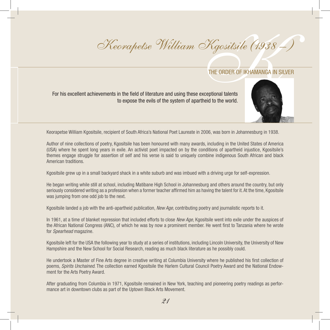# Kgositsile (1938 – Keorapetse William Kgositsile (1938 – )

For his excellent achievements in the field of literature and using these exceptional talents to expose the evils of the system of apartheid to the world.



Keorapetse William Kgositsile, recipient of South Africa's National Poet Laureate in 2006, was born in Johannesburg in 1938.

Author of nine collections of poetry, Kgositsile has been honoured with many awards, including in the United States of America (USA) where he spent long years in exile. An activist poet impacted on by the conditions of apartheid injustice, Kgositsile's themes engage struggle for assertion of self and his verse is said to uniquely combine indigenous South African and black American traditions.

Kgositsile grew up in a small backyard shack in a white suburb and was imbued with a driving urge for self-expression.

He began writing while still at school, including Matibane High School in Johannesburg and others around the country, but only seriously considered writing as a profession when a former teacher affirmed him as having the talent for it. At the time, Kgositsile was jumping from one odd job to the next.

Kgositsile landed a job with the anti-apartheid publication, *New Age*, contributing poetry and journalistic reports to it.

In 1961, at a time of blanket repression that included efforts to close *New Age*, Kgositsile went into exile under the auspices of the African National Congress (ANC), of which he was by now a prominent member. He went first to Tanzania where he wrote for *Spearhead* magazine.

Kgositsile left for the USA the following year to study at a series of institutions, including Lincoln University, the University of New Hampshire and the New School for Social Research, reading as much black literature as he possibly could.

He undertook a Master of Fine Arts degree in creative writing at Columbia University where he published his first collection of poems, *Spirits Unchained*. The collection earned Kgositsile the Harlem Cultural Council Poetry Award and the National Endowment for the Arts Poetry Award.

After graduating from Columbia in 1971, Kgositsile remained in New York, teaching and pioneering poetry readings as performance art in downtown clubs as part of the Uptown Black Arts Movement.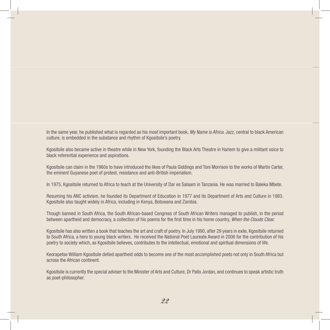In the same year, he published what is regarded as his most important book, *My Name is Africa*. Jazz, central to black American culture, is embedded in the substance and rhythm of Kgositsile's poetry.

Kgositsile also became active in theatre while in New York, founding the Black Arts Theatre in Harlem to give a militant voice to black referential experience and aspirations.

Kgositsile can claim in the 1960s to have introduced the likes of Paula Giddings and Toni Morrison to the works of Martin Carter, the eminent Guyanese poet of protest, resistance and anti-British imperialism.

In 1975, Kgositsile returned to Africa to teach at the University of Dar es Salaam in Tanzania. He was married to Baleka Mbete.

Resuming his ANC activism, he founded its Department of Education in 1977 and its Department of Arts and Culture in 1983. Kgositsile also taught widely in Africa, including in Kenya, Botswana and Zambia.

Though banned in South Africa, the South African-based Congress of South African Writers managed to publish, in the period between apartheid and democracy, a collection of his poems for the first time in his home country, *When the Clouds Clear.*

Kgositsile has also written a book that teaches the art and craft of poetry. In July 1990, after 29 years in exile, Kgositsile returned to South Africa, a hero to young black writers. He received the National Poet Laureate Award in 2006 for the contribution of his poetry to society which, as Kgositsile believes, contributes to the intellectual, emotional and spiritual dimensions of life.

Keorapetse William Kgositsile defied apartheid odds to become one of the most accomplished poets not only in South Africa but across the African continent.

Kgositsile is currently the special adviser to the Minister of Arts and Culture, Dr Pallo Jordan, and continues to speak artistic truth as poet-philosopher.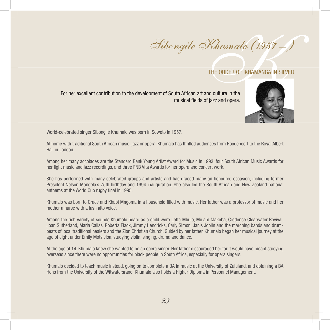$\chi$ <br>THE ORDER OF IKHAMANGA IN SILV<br>nd culture in the<br>figzz and opera Sibongile Khumalo (1957 – )

For her excellent contribution to the development of South African art and culture in the musical fields of jazz and opera.



World-celebrated singer Sibongile Khumalo was born in Soweto in 1957.

At home with traditional South African music, jazz or opera, Khumalo has thrilled audiences from Roodepoort to the Royal Albert Hall in London.

Among her many accolades are the Standard Bank Young Artist Award for Music in 1993, four South African Music Awards for her light music and jazz recordings, and three FNB Vita Awards for her opera and concert work.

She has performed with many celebrated groups and artists and has graced many an honoured occasion, including former President Nelson Mandela's 75th birthday and 1994 inauguration. She also led the South African and New Zealand national anthems at the World Cup rugby final in 1995.

Khumalo was born to Grace and Khabi Mngoma in a household filled with music. Her father was a professor of music and her mother a nurse with a lush alto voice.

Among the rich variety of sounds Khumalo heard as a child were Letta Mbulo, Miriam Makeba, Credence Clearwater Revival, Joan Sutherland, Maria Callas, Roberta Flack, Jimmy Hendricks, Carly Simon, Janis Joplin and the marching bands and drumbeats of local traditional healers and the Zion Christian Church. Guided by her father, Khumalo began her musical journey at the age of eight under Emily Motsieloa, studying violin, singing, drama and dance.

At the age of 14, Khumalo knew she wanted to be an opera singer. Her father discouraged her for it would have meant studying overseas since there were no opportunities for black people in South Africa, especially for opera singers.

Khumalo decided to teach music instead, going on to complete a BA in music at the University of Zululand, and obtaining a BA Hons from the University of the Witwatersrand. Khumalo also holds a Higher Diploma in Personnel Management.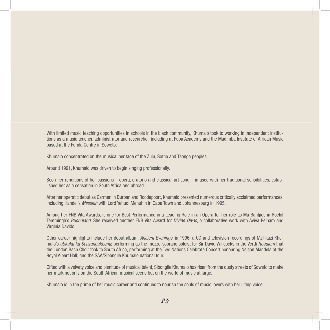With limited music teaching opportunities in schools in the black community, Khumalo took to working in independent institutions as a music teacher, administrator and researcher, including at Fuba Academy and the Madimba Institute of African Music based at the Funda Centre in Soweto.

Khumalo concentrated on the musical heritage of the Zulu, Sotho and Tsonga peoples.

Around 1991, Khumalo was driven to begin singing professionally.

Soon her renditions of her passions – opera, oratorio and classical art song – infused with her traditional sensibilities, established her as a sensation in South Africa and abroad.

After her operatic debut as Carmen in Durban and Roodepoort, Khumalo presented numerous critically acclaimed performances, including Handel's *Messiah* with Lord Yehudi Menuhin in Cape Town and Johannesburg in 1995.

Among her FNB Vita Awards, is one for Best Performance in a Leading Role in an Opera for her role as Ma Bantjies in Roelof Temmingh's *Buchuland*. She received another FNB Vita Award for *Divine Divas*, a collaborative work with Aviva Pelham and Virginia Davids.

Other career highlights include her debut album, *Ancient Evenings*, in 1996; a CD and television recordings of Mzilikazi Khumalo's *uSkaka ka Senzangakhona*; performing as the mezzo-soprano soloist for Sir David Willcocks in the Verdi *Requiem* that the London Bach Choir took to South Africa; performing at the Two Nations Celebrate Concert honouring Nelson Mandela at the Royal Albert Hall; and the SAA/Sibongile Khumalo national tour.

Gifted with a velvety voice and plenitude of musical talent, Sibongile Khumalo has risen from the dusty streets of Soweto to make her mark not only on the South African musical scene but on the world of music at large.

Khumalo is in the prime of her music career and continues to nourish the souls of music lovers with her lilting voice.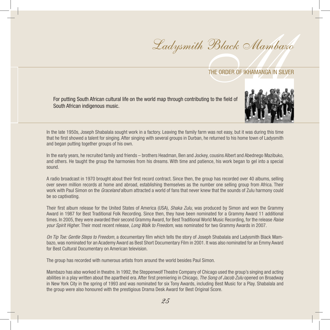$\frac{m}{\pi}$ <br>THE ORDER OF IKHAMANGA IN SILVER Ladysmith Black Mambazo

For putting South African cultural life on the world map through contributing to the field of South African indigenous music.



In the late 1950s, Joseph Shabalala sought work in a factory. Leaving the family farm was not easy, but it was during this time that he first showed a talent for singing. After singing with several groups in Durban, he returned to his home town of Ladysmith and began putting together groups of his own.

In the early years, he recruited family and friends – brothers Headman, Ben and Jockey, cousins Albert and Abednego Mazibuko, and others. He taught the group the harmonies from his dreams. With time and patience, his work began to gel into a special sound.

A radio broadcast in 1970 brought about their first record contract. Since then, the group has recorded over 40 albums, selling over seven million records at home and abroad, establishing themselves as the number one selling group from Africa. Their work with Paul Simon on the *Graceland* album attracted a world of fans that never knew that the sounds of Zulu harmony could be so captivating.

Their first album release for the United States of America (USA), *Shaka Zulu*, was produced by Simon and won the Grammy Award in 1987 for Best Traditional Folk Recording. Since then, they have been nominated for a Grammy Award 11 additional times. In 2005, they were awarded their second Grammy Award, for Best Traditional World Music Recording, for the release *Raise your Spirit Higher*. Their most recent release, *Long Walk to Freedom*, was nominated for two Grammy Awards in 2007.

*On Tip Toe: Gentle Steps to Freedom*, a documentary film which tells the story of Joseph Shabalala and Ladysmith Black Mambazo, was nominated for an Academy Award as Best Short Documentary Film in 2001. It was also nominated for an Emmy Award for Best Cultural Documentary on American television.

The group has recorded with numerous artists from around the world besides Paul Simon.

Mambazo has also worked in theatre. In 1992, the Steppenwolf Theatre Company of Chicago used the group's singing and acting abilities in a play written about the apartheid era. After first premiering in Chicago, *The Song of Jacob Zulu* opened on Broadway in New York City in the spring of 1993 and was nominated for six Tony Awards, including Best Music for a Play. Shabalala and the group were also honoured with the prestigious Drama Desk Award for Best Original Score.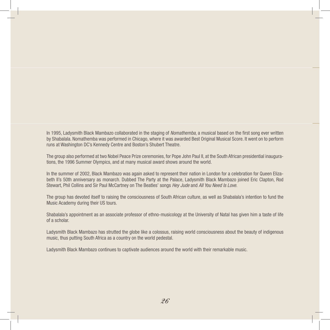In 1995, Ladysmith Black Mambazo collaborated in the staging of *Nomathemba*, a musical based on the first song ever written by Shabalala. Nomathemba was performed in Chicago, where it was awarded Best Original Musical Score. It went on to perform runs at Washington DC's Kennedy Centre and Boston's Shubert Theatre.

The group also performed at two Nobel Peace Prize ceremonies, for Pope John Paul II, at the South African presidential inaugurations, the 1996 Summer Olympics, and at many musical award shows around the world.

In the summer of 2002, Black Mambazo was again asked to represent their nation in London for a celebration for Queen Elizabeth II's 50th anniversary as monarch. Dubbed The Party at the Palace, Ladysmith Black Mambazo joined Eric Clapton, Rod Stewart, Phil Collins and Sir Paul McCartney on The Beatles' songs *Hey Jude* and *All You Need Is Love*.

The group has devoted itself to raising the consciousness of South African culture, as well as Shabalala's intention to fund the Music Academy during their US tours.

Shabalala's appointment as an associate professor of ethno-musicology at the University of Natal has given him a taste of life of a scholar.

Ladysmith Black Mambazo has strutted the globe like a colossus, raising world consciousness about the beauty of indigenous music, thus putting South Africa as a country on the world pedestal.

Ladysmith Black Mambazo continues to captivate audiences around the world with their remarkable music.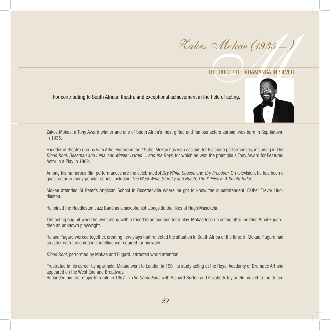$\cdot$  *Mokae (1935 - )*<br>THE ORDER OF IKHAMANGA IN SILVER<br>The field of acting. Zakes Mokae (1935 – )

For contributing to South African theatre and exceptional achievement in the field of acting.



Zakes Mokae, a Tony Award winner and one of South Africa's most gifted and famous actors abroad, was born in Sophiatown in 1935.

Founder of theatre groups with Athol Fugard in the 1950s, Mokae has won acclaim for his stage performances, including in The *Blood Knot, Boesman and Lena*, and *Master Harold ... and the Boys*, for which he won the prestigious Tony Award for Featured Actor in a Play in 1982.

Among his numerous film performances are the celebrated *A Dry White Season* and *Cry Freedom*. On television, he has been a guest actor in many popular series, including *The West Wing, Starsky and Hutch*, *The X-Files* and *Knight Rider.*

Mokae attended St Peter's Anglican School in Rosettenville where he got to know the superintendent, Father Trevor Huddleston.

He joined the Huddleston Jazz Band as a saxophonist alongside the likes of Hugh Masekela.

The acting bug bit when he went along with a friend to an audition for a play. Mokae took up acting after meeting Athol Fugard, then an unknown playwright.

He and Fugard worked together, creating new plays that reflected the situation in South Africa of the time. In Mokae, Fugard had an actor with the emotional intelligence required for his work.

*Blood Knot*, performed by Mokae and Fugard, attracted world attention.

Frustrated in his career by apartheid, Mokae went to London in 1961 to study acting at the Royal Academy of Dramatic Art and appeared on the West End and Broadway.

He landed his first major film role in 1967 in *The Comedians* with Richard Burton and Elizabeth Taylor. He moved to the United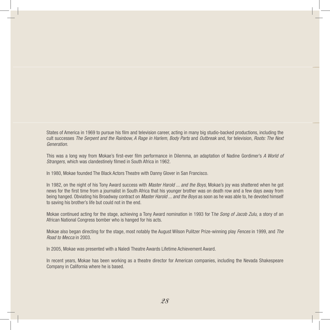States of America in 1969 to pursue his film and television career, acting in many big studio-backed productions, including the cult successes *The Serpent and the Rainbow, A Rage in Harlem, Body Parts* and *Outbreak* and, for television, *Roots: The Next Generation.*

This was a long way from Mokae's first-ever film performance in Dilemma, an adaptation of Nadine Gordimer's *A World of Strangers,* which was clandestinely filmed in South Africa in 1962.

In 1980, Mokae founded The Black Actors Theatre with Danny Glover in San Francisco.

In 1982, on the night of his Tony Award success with *Master Harold ... and the Boys*, Mokae's joy was shattered when he got news for the first time from a journalist in South Africa that his younger brother was on death row and a few days away from being hanged. Obviating his Broadway contract on *Master Harold ... and the Boys* as soon as he was able to, he devoted himself to saving his brother's life but could not in the end.

Mokae continued acting for the stage, achieving a Tony Award nomination in 1993 for T*he Song of Jacob Zulu,* a story of an African National Congress bomber who is hanged for his acts.

Mokae also began directing for the stage, most notably the August Wilson Pulitzer Prize-winning play *Fences* in 1999, and *The Road to Mecca* in 2003.

In 2005, Mokae was presented with a Naledi Theatre Awards Lifetime Achievement Award.

In recent years, Mokae has been working as a theatre director for American companies, including the Nevada Shakespeare Company in California where he is based.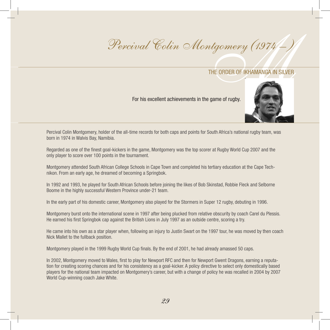# $\frac{1}{\sqrt{1974}}$ <br>THE ORDER OF IKHAMANGA IN SILVER Percival Colin Montgomery (1974-)

# The Order of Ikhamanga in Silver

## For his excellent achievements in the game of rugby.



Percival Colin Montgomery, holder of the all-time records for both caps and points for South Africa's national rugby team, was born in 1974 in Walvis Bay, Namibia.

Regarded as one of the finest goal-kickers in the game, Montgomery was the top scorer at Rugby World Cup 2007 and the only player to score over 100 points in the tournament.

Montgomery attended South African College Schools in Cape Town and completed his tertiary education at the Cape Technikon. From an early age, he dreamed of becoming a Springbok.

In 1992 and 1993, he played for South African Schools before joining the likes of Bob Skinstad, Robbie Fleck and Selborne Boome in the highly successful Western Province under-21 team.

In the early part of his domestic career, Montgomery also played for the Stormers in Super 12 rugby, debuting in 1996.

Montgomery burst onto the international scene in 1997 after being plucked from relative obscurity by coach Carel du Plessis. He earned his first Springbok cap against the British Lions in July 1997 as an outside centre, scoring a try.

He came into his own as a star player when, following an injury to Justin Swart on the 1997 tour, he was moved by then coach Nick Mallet to the fullback position.

Montgomery played in the 1999 Rugby World Cup finals. By the end of 2001, he had already amassed 50 caps.

In 2002, Montgomery moved to Wales, first to play for Newport RFC and then for Newport Gwent Dragons, earning a reputation for creating scoring chances and for his consistency as a goal-kicker. A policy directive to select only domestically based players for the national team impacted on Montgomery's career, but with a change of policy he was recalled in 2004 by 2007 World Cup-winning coach Jake White.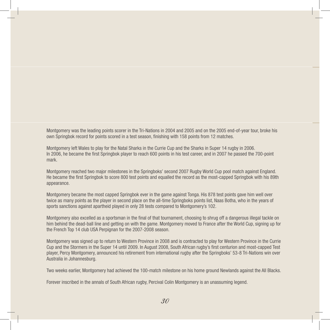Montgomery was the leading points scorer in the Tri-Nations in 2004 and 2005 and on the 2005 end-of-year tour, broke his own Springbok record for points scored in a test season, finishing with 158 points from 12 matches.

Montgomery left Wales to play for the Natal Sharks in the Currie Cup and the Sharks in Super 14 rugby in 2006. In 2006, he became the first Springbok player to reach 600 points in his test career, and in 2007 he passed the 700-point mark.

Montgomery reached two major milestones in the Springboks' second 2007 Rugby World Cup pool match against England. He became the first Springbok to score 800 test points and equalled the record as the most-capped Springbok with his 89th appearance.

Montgomery became the most capped Springbok ever in the game against Tonga. His 878 test points gave him well over twice as many points as the player in second place on the all-time Springboks points list, Naas Botha, who in the years of sports sanctions against apartheid played in only 28 tests compared to Montgomery's 102.

Montgomery also excelled as a sportsman in the final of that tournament, choosing to shrug off a dangerous illegal tackle on him behind the dead-ball line and getting on with the game. Montgomery moved to France after the World Cup, signing up for the French Top 14 club USA Perpignan for the 2007-2008 season.

Montgomery was signed up to return to Western Province in 2008 and is contracted to play for Western Province in the Currie Cup and the Stormers in the Super 14 until 2009. In August 2008, South African rugby's first centurion and most-capped Test player, Percy Montgomery, announced his retirement from international rugby after the Springboks' 53-8 Tri-Nations win over Australia in Johannesburg.

Two weeks earlier, Montgomery had achieved the 100-match milestone on his home ground Newlands against the All Blacks.

Forever inscribed in the annals of South African rugby, Percival Colin Montgomery is an unassuming legend.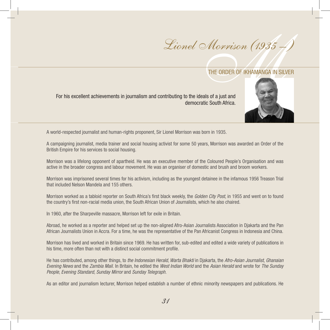$M_{OFVison}$  (1935 –<br>THE ORDER OF IKHAMANGA IN SILVERS OF IKHAMANGA IN SILVERS OF  $\frac{1}{2}$ Lionel Morrison (1935 -)

For his excellent achievements in journalism and contributing to the ideals of a just and democratic South Africa.



A world-respected journalist and human-rights proponent, Sir Lionel Morrison was born in 1935.

A campaigning journalist, media trainer and social housing activist for some 50 years, Morrison was awarded an Order of the British Empire for his services to social housing.

Morrison was a lifelong opponent of apartheid. He was an executive member of the Coloured People's Organisation and was active in the broader congress and labour movement. He was an organiser of domestic and brush and broom workers.

Morrison was imprisoned several times for his activism, including as the youngest detainee in the infamous 1956 Treason Trial that included Nelson Mandela and 155 others.

Morrison worked as a tabloid reporter on South Africa's first black weekly, the *Golden City Post*, in 1955 and went on to found the country's first non-racial media union, the South African Union of Journalists, which he also chaired.

In 1960, after the Sharpeville massacre, Morrison left for exile in Britain.

Abroad, he worked as a reporter and helped set up the non-aligned Afro-Asian Journalists Association in Djakarta and the Pan African Journalists Union in Accra. For a time, he was the representative of the Pan Africanist Congress in Indonesia and China.

Morrison has lived and worked in Britain since 1969. He has written for, sub-edited and edited a wide variety of publications in his time, more often than not with a distinct social commitment profile.

He has contributed, among other things, to *the Indonesian Herald, Warta Bhakti* in Djakarta, the *Afro-Asian Journalist*, *Ghanaian Evening News* and the *Zambia Mail.* In Britain, he edited the *West Indian World* and the *Asian Herald* and wrote for *The Sunday People*, *Evening Standard, Sunday Mirror* and *Sunday Telegraph.*

As an editor and journalism lecturer, Morrison helped establish a number of ethnic minority newspapers and publications. He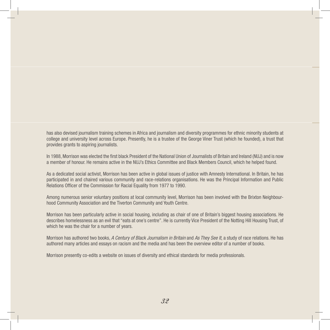has also devised journalism training schemes in Africa and journalism and diversity programmes for ethnic minority students at college and university level across Europe. Presently, he is a trustee of the George Viner Trust (which he founded), a trust that provides grants to aspiring journalists.

In 1988, Morrison was elected the first black President of the National Union of Journalists of Britain and Ireland (NUJ) and is now a member of honour. He remains active in the NUJ's Ethics Committee and Black Members Council, which he helped found.

As a dedicated social activist, Morrison has been active in global issues of justice with Amnesty International. In Britain, he has participated in and chaired various community and race-relations organisations. He was the Principal Information and Public Relations Officer of the Commission for Racial Equality from 1977 to 1990.

Among numerous senior voluntary positions at local community level, Morrison has been involved with the Brixton Neighbourhood Community Association and the Tiverton Community and Youth Centre.

Morrison has been particularly active in social housing, including as chair of one of Britain's biggest housing associations. He describes homelessness as an evil that "eats at one's centre". He is currently Vice President of the Notting Hill Housing Trust, of which he was the chair for a number of years.

Morrison has authored two books, *A Century of Black Journalism in Britain* and *As They See It*, a study of race relations. He has authored many articles and essays on racism and the media and has been the overview editor of a number of books.

Morrison presently co-edits a website on issues of diversity and ethical standards for media professionals.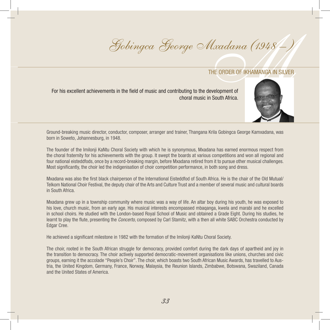# $\frac{Mxadana(1948-)}{n}$ <br>THE ORDER OF IKHAMANGA IN SILVER Gobingca George Mxadana (1948 – )

## THE ORDER OF IKHAMANGA IN SILVER.

For his excellent achievements in the field of music and contributing to the development of choral music in South Africa.



Ground-breaking music director, conductor, composer, arranger and trainer, Thangana Krila Gobingca George Kamxadana, was born in Soweto, Johannesburg, in 1948.

The founder of the Imilonji KaNtu Choral Society with which he is synonymous, Mxadana has earned enormous respect from the choral fraternity for his achievements with the group. It swept the boards at various competitions and won all regional and four national eisteddfods, once by a record-breaking margin, before Mxadana retired from it to pursue other musical challenges. Most significantly, the choir led the indigenisation of choir competition performance, in both song and dress.

Mxadana was also the first black chairperson of the International Eisteddfod of South Africa. He is the chair of the Old Mutual/ Telkom National Choir Festival, the deputy chair of the Arts and Culture Trust and a member of several music and cultural boards in South Africa.

Mxadana grew up in a township community where music was a way of life. An altar boy during his youth, he was exposed to his love, church music, from an early age. His musical interests encompassed mbaqanga, kwela and marabi and he excelled in school choirs. He studied with the London-based Royal School of Music and obtained a Grade Eight. During his studies, he learnt to play the flute, presenting the *Concerto*, composed by Carl Stamitz, with a then all white SABC Orchestra conducted by Edgar Cree.

He achieved a significant milestone in 1982 with the formation of the Imilonji KaNtu Choral Society.

The choir, rooted in the South African struggle for democracy, provided comfort during the dark days of apartheid and joy in the transition to democracy. The choir actively supported democratic-movement organisations like unions, churches and civic groups, earning it the accolade "People's Choir". The choir, which boasts two South African Music Awards, has travelled to Austria, the United Kingdom, Germany, France, Norway, Malaysia, the Reunion Islands, Zimbabwe, Botswana, Swaziland, Canada and the United States of America.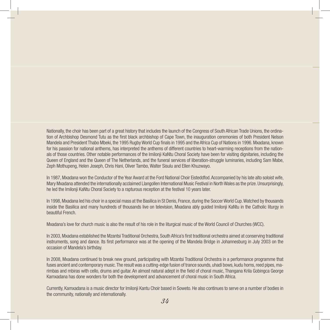Nationally, the choir has been part of a great history that includes the launch of the Congress of South African Trade Unions, the ordination of Archbishop Desmond Tutu as the first black archbishop of Cape Town, the inauguration ceremonies of both President Nelson Mandela and President Thabo Mbeki, the 1995 RugbyWorld Cup finals in 1995 and the Africa Cup of Nations in 1996.Mxadana, known for his passion for national anthems, has interpreted the anthems of different countries to heart-warming receptions from the nationals of those countries. Other notable performances of the Imilonji KaNtu Choral Society have been for visiting dignitaries, including the Queen of England and the Queen of The Netherlands, and the funeral services of liberation-struggle luminaries, including Sam Mabe, Zeph Mothupeng, Helen Joseph, Chris Hani, Oliver Tambo, Walter Sisulu and Ellen Khuzwayo.

In 1987,Mxadana won the Conductor of the Year Award at the Ford National Choir Eisteddfod.Accompanied by his late alto soloist wife, Mary Mxadana attended the internationally acclaimed Llangollen International Music Festival in NorthWales as the prize.Unsurprisingly, he led the Imilonji KaNtu Choral Society to a rapturous reception at the festival 10 years later.

In 1998,Mxadana led his choir in a special mass at the Basilica in St Denis, France, during the SoccerWorld Cup.Watched by thousands inside the Basilica and many hundreds of thousands live on television, Mxadana ably guided Imilonji KaNtu in the Catholic liturgy in beautiful French.

Mxadana's love for church music is also the result of his role in the liturgical music of the World Council of Churches (WCC).

In 2003,Mxadana established the Mzantsi Traditional Orchestra, South Africa's first traditional orchestra aimed at conserving traditional instruments, song and dance. Its first performance was at the opening of the Mandela Bridge in Johannesburg in July 2003 on the occasion of Mandela's birthday.

In 2008, Mxadana continued to break new ground, participating with Mzantsi Traditional Orchestra in a performance programme that fuses ancient and contemporary music. The result was a cutting-edge fusion of trance sounds, uhadi bows, kudu horns, reed pipes, marimbas and mbiras with cello, drums and guitar. An almost natural adept in the field of choral music, Thangana Krila Gobingca George Kamxadana has done wonders for both the development and advancement of choral music in South Africa.

Currently, Kamxadana is a music director for Imilonji Kantu Choir based in Soweto. He also continues to serve on a number of bodies in the community, nationally and internationally.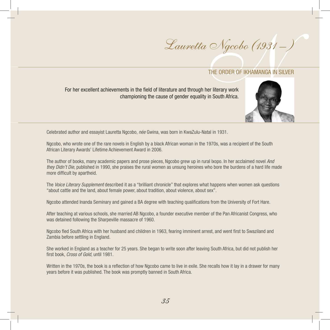# Ngcobo (1931 –<br>THE ORDER OF IKHAMANGA IN SIL<br>er literary work<br>in South Africa. Lauretta Ngcobo (1931 – )

For her excellent achievements in the field of literature and through her literary work championing the cause of gender equality in South Africa.



Celebrated author and essayist Lauretta Ngcobo, *née* Gwina, was born in KwaZulu-Natal in 1931.

Ngcobo, who wrote one of the rare novels in English by a black African woman in the 1970s, was a recipient of the South African Literary Awards' Lifetime Achievement Award in 2006.

The author of books, many academic papers and prose pieces, Ngcobo grew up in rural Ixopo. In her acclaimed novel *And they Didn't Die*, published in 1990, she praises the rural women as unsung heroines who bore the burdens of a hard life made more difficult by apartheid.

The *Voice Literary Supplement* described it as a "brilliant chronicle" that explores what happens when women ask questions "about cattle and the land, about female power, about tradition, about violence, about sex".

Ngcobo attended Inanda Seminary and gained a BA degree with teaching qualifications from the University of Fort Hare.

After teaching at various schools, she married AB Ngcobo, a founder executive member of the Pan Africanist Congress, who was detained following the Sharpeville massacre of 1960.

Ngcobo fled South Africa with her husband and children in 1963, fearing imminent arrest, and went first to Swaziland and Zambia before settling in England.

She worked in England as a teacher for 25 years. She began to write soon after leaving South Africa, but did not publish her first book, *Cross of Gold*, until 1981.

Written in the 1970s, the book is a reflection of how Ngcobo came to live in exile. She recalls how it lay in a drawer for many years before it was published. The book was promptly banned in South Africa.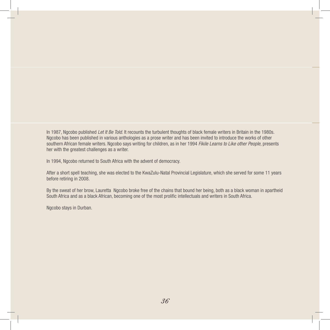In 1987, Ngcobo published *Let It Be Told*. It recounts the turbulent thoughts of black female writers in Britain in the 1980s. Ngcobo has been published in various anthologies as a prose writer and has been invited to introduce the works of other southern African female writers. Ngcobo says writing for children, as in her 1994 *Fikile Learns to Like other People*, presents her with the greatest challenges as a writer.

In 1994, Ngcobo returned to South Africa with the advent of democracy.

After a short spell teaching, she was elected to the KwaZulu-Natal Provincial Legislature, which she served for some 11 years before retiring in 2008.

By the sweat of her brow, Lauretta Ngcobo broke free of the chains that bound her being, both as a black woman in apartheid South Africa and as a black African, becoming one of the most prolific intellectuals and writers in South Africa.

Ngcobo stays in Durban.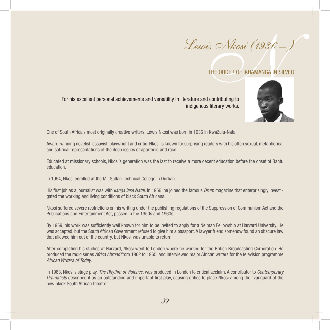



For his excellent personal achievements and versatility in literature and contributing to indigenous literary works.

One of South Africa's most originally creative writers, Lewis Nkosi was born in 1936 in KwaZulu-Natal.

Award-winning novelist, essayist, playwright and critic, Nkosi is known for surprising readers with his often sexual, metaphorical and satirical representations of the deep issues of apartheid and race.

Educated at missionary schools, Nkosi's generation was the last to receive a more decent education before the onset of Bantu education.

In 1954, Nkosi enrolled at the ML Sultan Technical College in Durban.

His first job as a journalist was with *Ilanga Iase Natal.* In 1956, he joined the famous *Drum* magazine that enterprisingly investigated the working and living conditions of black South Africans.

Nkosi suffered severe restrictions on his writing under the publishing regulations of the Suppression of Communism Act and the Publications and Entertainment Act, passed in the 1950s and 1960s.

By 1959, his work was sufficiently well known for him to be invited to apply for a Neiman Fellowship at Harvard University. He was accepted, but the South African Government refused to give him a passport. A lawyer friend somehow found an obscure law that allowed him out of the country, but Nkosi was unable to return.

After completing his studies at Harvard, Nkosi went to London where he worked for the British Broadcasting Corporation. He produced the radio series *Africa Abroad* from 1962 to 1965, and interviewed major African writers for the television programme *African Writers of Today*.

In 1963, Nkosi's stage play, *The Rhythm of Violence*, was produced in London to critical acclaim. A contributor to *Contemporary Dramatists* described it as an outstanding and important first play, causing critics to place Nkosi among the "vanguard of the new black South African theatre".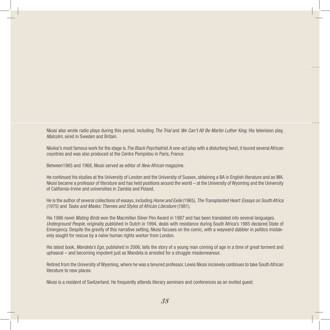Nkosi also wrote radio plays during this period, including *The Trial* and *We Can't All Be Martin Luther King*. His television play, *Malcolm*, aired in Sweden and Britain.

Nkoksi's most famous work for the stage is *The Black Psychiatrist*.A one-act play with a disturbing twist, it toured several African countries and was also produced at the Centre Pompidou in Paris, France.

Between1965 and 1968, Nkosi served as editor of *New African* magazine.

He continued his studies at the University of London and the University of Sussex, obtaining a BA in English literature and an MA. Nkosi became a professor of literature and has held positions around the world – at the University of Wyoming and the University of California-Irvine and universities in Zambia and Poland.

He is the author of several collections of essays, including *Home and Exile* (1965), *The Transplanted Heart: Essays on South Africa*  (1975) and *Tasks and Masks: Themes and Styles of African Literature* (1981).

His 1986 novel *Mating Birds* won the Macmillan Silver Pen Award in 1987 and has been translated into several languages. *Underground People*, originally published in Dutch in 1994, deals with resistance during South Africa's 1985 declared State of Emergency. Despite the gravity of this narrative setting, Nkosi focuses on the comic, with a wayward dabbler in politics mistakenly sought for rescue by a naïve human rights worker from London.

His latest book, *Mandela's Ego,* published in 2006, tells the story of a young man coming of age in a time of great torment and upheaval – and becoming impotent just as Mandela is arrested for a struggle misdemeanour.

Retired from the University of Wyoming,where he was a tenured professor, Lewis Nkosi incisively continues to take South African literature to new places.

Nkosi is a resident of Switzerland. He frequently attends literary seminars and conferences as an invited guest.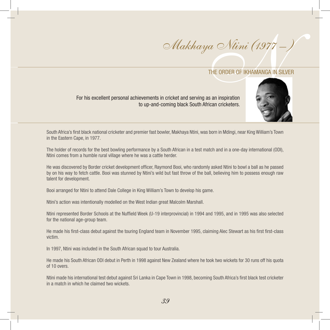$a \sim N$ *timi (1977 –*<br>THE ORDER OF IKHAMANGA IN SILVER ORDER OF IKHAMANGA IN SILVER ORDER OF THE ORDER OF THE SECTION AND SILVER OPTION OF THE SECTION AND THE ORDER OF THE SECTION AND STRUCTURE OF THE SECTION AND THE ORDER Makhaya Ntini (1977 – )

## THE ORDER OF IKHAMANGA IN SILVER

For his excellent personal achievements in cricket and serving as an inspiration to up-and-coming black South African cricketers.



South Africa's first black national cricketer and premier fast bowler, Makhaya Ntini, was born in Mdingi, near King William's Town in the Eastern Cape, in 1977.

The holder of records for the best bowling performance by a South African in a test match and in a one-day international (ODI), Ntini comes from a humble rural village where he was a cattle herder.

He was discovered by Border cricket development officer, Raymond Booi, who randomly asked Ntini to bowl a ball as he passed by on his way to fetch cattle. Booi was stunned by Ntini's wild but fast throw of the ball, believing him to possess enough raw talent for development.

Booi arranged for Ntini to attend Dale College in King William's Town to develop his game.

Ntini's action was intentionally modelled on the West Indian great Malcolm Marshall.

Ntini represented Border Schools at the Nuffield Week (U-19 interprovincial) in 1994 and 1995, and in 1995 was also selected for the national age-group team.

He made his first-class debut against the touring England team in November 1995, claiming Alec Stewart as his first first-class victim.

In 1997, Ntini was included in the South African squad to tour Australia.

He made his South African ODI debut in Perth in 1998 against New Zealand where he took two wickets for 30 runs off his quota of 10 overs.

Ntini made his international test debut against Sri Lanka in Cape Town in 1998, becoming South Africa's first black test cricketer in a match in which he claimed two wickets.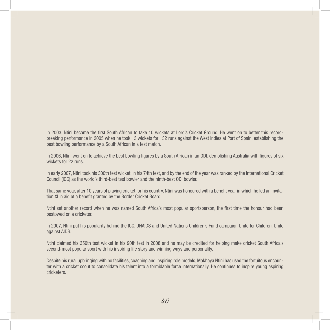In 2003, Ntini became the first South African to take 10 wickets at Lord's Cricket Ground. He went on to better this recordbreaking performance in 2005 when he took 13 wickets for 132 runs against the West Indies at Port of Spain, establishing the best bowling performance by a South African in a test match.

In 2006, Ntini went on to achieve the best bowling figures by a South African in an ODI, demolishing Australia with figures of six wickets for 22 runs.

In early 2007, Ntini took his 300th test wicket, in his 74th test, and by the end of the year was ranked by the International Cricket Council (ICC) as the world's third-best test bowler and the ninth-best ODI bowler.

That same year, after 10 years of playing cricket for his country, Ntini was honoured with a benefit year in which he led an Invitation XI in aid of a benefit granted by the Border Cricket Board.

Ntini set another record when he was named South Africa's most popular sportsperson, the first time the honour had been bestowed on a cricketer.

In 2007, Ntini put his popularity behind the ICC, UNAIDS and United Nations Children's Fund campaign Unite for Children, Unite against AIDS.

Ntini claimed his 350th test wicket in his 90th test in 2008 and he may be credited for helping make cricket South Africa's second-most popular sport with his inspiring life story and winning ways and personality.

Despite his rural upbringing with no facilities, coaching and inspiring role models, Makhaya Ntini has used the fortuitous encounter with a cricket scout to consolidate his talent into a formidable force internationally. He continues to inspire young aspiring cricketers.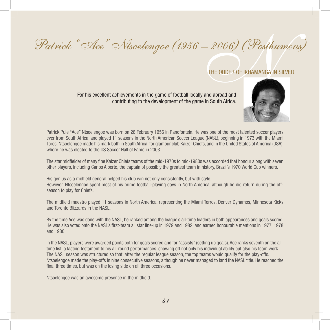# $-$  2006) (Posthum<br>THE ORDER OF IKHAMANGA IN SILVER<br>and abroad and Patrick "Ace" Ntsoelengoe (1956 – 2006) (Posthumous)

For his excellent achievements in the game of football locally and abroad and contributing to the development of the game in South Africa.



Patrick Pule "Ace" Ntsoelengoe was born on 26 February 1956 in Randfontein. He was one of the most talented soccer players ever from South Africa, and played 11 seasons in the North American Soccer League (NASL), beginning in 1973 with the Miami Toros. Ntsoelengoe made his mark both in South Africa, for glamour club Kaizer Chiefs, and in the United States of America (USA), where he was elected to the US Soccer Hall of Fame in 2003.

The star midfielder of many fine Kaizer Chiefs teams of the mid-1970s to mid-1980s was accorded that honour along with seven other players, including Carlos Alberto, the captain of possibly the greatest team in history, Brazil's 1970 World Cup winners.

His genius as a midfield general helped his club win not only consistently, but with style. However, Ntsoelengoe spent most of his prime football-playing days in North America, although he did return during the offseason to play for Chiefs.

The midfield maestro played 11 seasons in North America, representing the Miami Torros, Denver Dynamos, Minnesota Kicks and Toronto Blizzards in the NASL.

By the time Ace was done with the NASL, he ranked among the league's all-time leaders in both appearances and goals scored. He was also voted onto the NASL's first-team all star line-up in 1979 and 1982, and earned honourable mentions in 1977, 1978 and 1980.

In the NASL, players were awarded points both for goals scored and for "assists" (setting up goals). Ace ranks seventh on the alltime list, a lasting testament to his all-round performances, showing off not only his individual ability but also his team work. The NASL season was structured so that, after the regular league season, the top teams would qualify for the play-offs. Ntsoelengoe made the play-offs in nine consecutive seasons, although he never managed to land the NASL title. He reached the final three times, but was on the losing side on all three occasions.

Ntsoelengoe was an awesome presence in the midfield.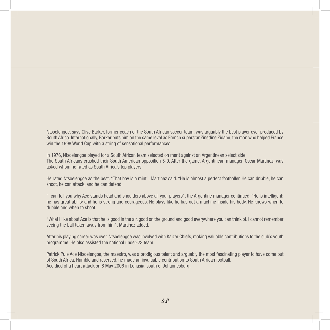Ntsoelengoe, says Clive Barker, former coach of the South African soccer team, was arguably the best player ever produced by South Africa. Internationally, Barker puts him on the same level as French superstar Zinedine Zidane, the man who helped France win the 1998 World Cup with a string of sensational performances.

In 1976, Ntsoelengoe played for a South African team selected on merit against an Argentinean select side. The South Africans crushed their South American opposition 5-0. After the game, Argentinean manager, Oscar Martinez, was asked whom he rated as South Africa's top players.

He rated Ntsoelengoe as the best. "That boy is a mint", Martinez said. "He is almost a perfect footballer. He can dribble, he can shoot, he can attack, and he can defend.

"I can tell you why Ace stands head and shoulders above all your players", the Argentine manager continued. "He is intelligent; he has great ability and he is strong and courageous. He plays like he has got a machine inside his body. He knows when to dribble and when to shoot.

"What I like about Ace is that he is good in the air, good on the ground and good everywhere you can think of. I cannot remember seeing the ball taken away from him", Martinez added.

After his playing career was over, Ntsoelengoe was involved with Kaizer Chiefs, making valuable contributions to the club's youth programme. He also assisted the national under-23 team.

Patrick Pule Ace Ntsoelengoe, the maestro, was a prodigious talent and arguably the most fascinating player to have come out of South Africa. Humble and reserved, he made an invaluable contribution to South African football. Ace died of a heart attack on 8 May 2006 in Lenasia, south of Johannesburg.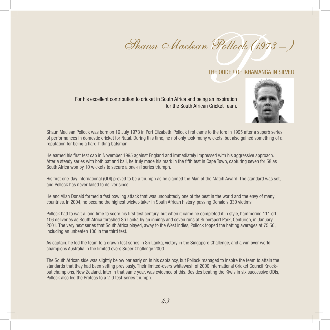# *m Pollock (1973 –*<br>THE ORDER OF IKHAMANGA IN SILVER Shaun Maclean Pollock (1973 -)

For his excellent contribution to cricket in South Africa and being an inspiration for the South African Cricket Team.



Shaun Maclean Pollock was born on 16 July 1973 in Port Elizabeth. Pollock first came to the fore in 1995 after a superb series of performances in domestic cricket for Natal. During this time, he not only took many wickets, but also gained something of a reputation for being a hard-hitting batsman.

He earned his first test cap in November 1995 against England and immediately impressed with his aggressive approach. After a steady series with both bat and ball, he truly made his mark in the fifth test in Cape Town, capturing seven for 58 as South Africa won by 10 wickets to secure a one-nil series triumph.

His first one-day international (ODI) proved to be a triumph as he claimed the Man of the Match Award. The standard was set, and Pollock has never failed to deliver since.

He and Allan Donald formed a fast bowling attack that was undoubtedly one of the best in the world and the envy of many countries. In 2004, he became the highest wicket-taker in South African history, passing Donald's 330 victims.

Pollock had to wait a long time to score his first test century, but when it came he completed it in style, hammering 111 off 106 deliveries as South Africa thrashed Sri Lanka by an innings and seven runs at Supersport Park, Centurion, in January 2001. The very next series that South Africa played, away to the West Indies, Pollock topped the batting averages at 75,50, including an unbeaten 106 in the third test.

As captain, he led the team to a drawn test series in Sri Lanka, victory in the Singapore Challenge, and a win over world champions Australia in the limited overs Super Challenge 2000.

The South African side was slightly below par early on in his captaincy, but Pollock managed to inspire the team to attain the standards that they had been setting previously. Their limited-overs whitewash of 2000 International Cricket Council Knockout champions, New Zealand, later in that same year, was evidence of this. Besides beating the Kiwis in six successive ODIs, Pollock also led the Proteas to a 2-0 test-series triumph.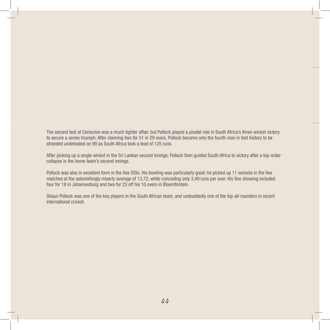The second test at Centurion was a much tighter affair, but Pollock played a pivotal role in South Africa's three-wicket victory to secure a series triumph. After claiming two for 51 in 29 overs, Pollock became only the fourth man in test history to be stranded undefeated on 99 as South Africa took a lead of 125 runs.

After picking up a single wicket in the Sri Lankan second innings, Pollock then guided South Africa to victory after a top-order collapse in the home team's second innings.

Pollock was also in excellent form in the five ODIs. His bowling was particularly good: he picked up 11 wickets in the five matches at the astonishingly miserly average of 13,72, while conceding only 3,49 runs per over. His fine showing included four for 18 in Johannesburg and two for 23 off his 10 overs in Bloemfontein.

Shaun Pollock was one of the key players in the South African team, and undoubtedly one of the top all-rounders in recent international cricket.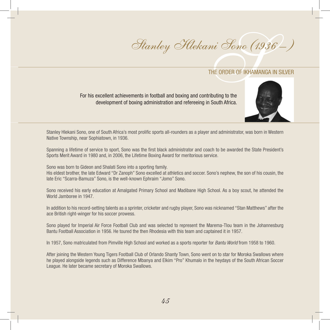*ni 'Sono (1936'*<br>THE ORDER OF IKHAMANGA IN SIL<br>ributing to the Stanley Hlekani Sono (1936 – )

## THE ORDER OF IKHAMANGA IN SILVER

For his excellent achievements in football and boxing and contributing to the development of boxing administration and refereeing in South Africa.



Stanley Hlekani Sono, one of South Africa's most prolific sports all-rounders as a player and administrator, was born in Western Native Township, near Sophiatown, in 1936.

Spanning a lifetime of service to sport, Sono was the first black administrator and coach to be awarded the State President's Sports Merit Award in 1980 and, in 2006, the Lifetime Boxing Award for meritorious service.

Sono was born to Gideon and Shalati Sono into a sporting family. His eldest brother, the late Edward "Dr Zanoph" Sono excelled at athletics and soccer. Sono's nephew, the son of his cousin, the late Eric "Scarra-Bamuza" Sono, is the well-known Ephraim "Jomo" Sono.

Sono received his early education at Amalgated Primary School and Madibane High School. As a boy scout, he attended the World Jamboree in 1947.

In addition to his record-setting talents as a sprinter, cricketer and rugby player, Sono was nicknamed "Stan Matthews" after the ace British right-winger for his soccer prowess.

Sono played for Imperial Air Force Football Club and was selected to represent the Marema-Tlou team in the Johannesburg Bantu Football Association in 1956. He toured the then Rhodesia with this team and captained it in 1957.

In 1957, Sono matriculated from Pimville High School and worked as a sports reporter for *Bantu World* from 1958 to 1960.

After joining the Western Young Tigers Football Club of Orlando Shanty Town, Sono went on to star for Moroka Swallows where he played alongside legends such as Difference Mbanya and Elkim "Pro" Khumalo in the heydays of the South African Soccer League. He later became secretary of Moroka Swallows.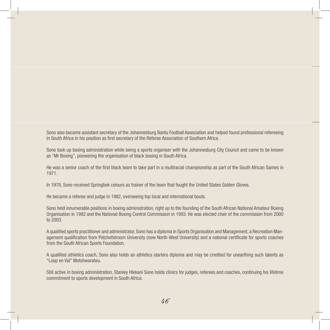Sono also became assistant secretary of the Johannesburg Bantu Football Association and helped found professional refereeing in South Africa in his position as first secretary of the Referee Association of Southern Africa.

Sono took up boxing administration while being a sports organiser with the Johannesburg City Council and came to be known as "Mr Boxing", pioneering the organisation of black boxing in South Africa.

He was a senior coach of the first black team to take part in a multiracial championship as part of the South African Games in 1971.

In 1978, Sono received Springbok colours as trainer of the team that fought the United States Golden Gloves.

He became a referee and judge in 1982, overseeing top local and international bouts.

Sono held innumerable positions in boxing administration, right up to the founding of the South African National Amateur Boxing Organisation in 1992 and the National Boxing Control Commission in 1993. He was elected chair of the commission from 2000 to 2003.

A qualified sports practitioner and administrator, Sono has a diploma in Sports Organisation and Management, a Recreation Management qualification from Potchefstroom University (now North-West University) and a national certificate for sports coaches from the South African Sports Foundation.

A qualified athletics coach, Sono also holds an athletics starters diploma and may be credited for unearthing such talents as "Loop en Val" Motshwarateu.

Still active in boxing administration, Stanley Hlekani Sono holds clinics for judges, referees and coaches, continuing his lifetime commitment to sports development in South Africa.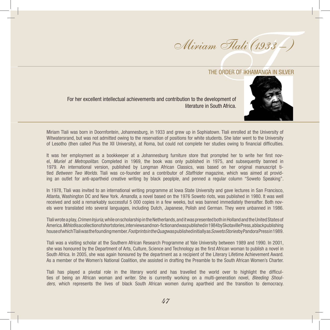m *Flali (1933 –*<br>THE ORDER OF IKHAMANGA IN SILVER<br>A Miriam Tlali (1933 – )

For her excellent intellectual achievements and contribution to the development of literature in South Africa.



Miriam Tlali was born in Doornfontein, Johannesburg, in 1933 and grew up in Sophiatown. Tlali enrolled at the University of Witwatersrand, but was not admitted owing to the reservation of positions for white students. She later went to the University of Lesotho (then called Pius the XII University), at Roma, but could not complete her studies owing to financial difficulties.

It was her employment as a bookkeeper at a Johannesburg furniture store that prompted her to write her first novel, *Muriel at Metropolitan*. Completed in 1969, the book was only published in 1975, and subsequently banned in 1979. An international version, published by Longman African Classics, was based on her original manuscript titled *Between Two Worlds*. Tlali was co-founder and a contributor of *Staffrider* magazine, which was aimed at providing an outlet for anti-apartheid creative writing by black peoplple, and penned a regular column "Soweto Speaking".

In 1978, Tlali was invited to an international writing programme at Iowa State University and gave lectures in San Francisco, Atlanta, Washington DC and New York. *Amandla*, a novel based on the 1976 Soweto riots, was published in 1980. It was well received and sold a remarkably successful 5 000 copies in a few weeks, but was banned immediately thereafter. Both novels were translated into several languages, including Dutch, Japanese, Polish and German. They were unbanned in 1986.

Tlali wrote a play, *Crimen Injuria*, while on scholarship in the Netherlands, and it was presented both in Holland and the United States of America. *Mihloti* is acollection of shortstories, interviews and non-fiction and was published in 1984 by Skotaville Press, a black publishing house of which Tlali was the founding member. *Footprints in the Quag* was published initially as *Soweto Stories* by Pandora Press in 1989.

Tlali was a visiting scholar at the Southern African Research Programme at Yale University between 1989 and 1990. In 2001, she was honoured by the Department of Arts, Culture, Science and Technology as the first African woman to publish a novel in South Africa. In 2005, she was again honoured by the department as a recipient of the Literary Lifetime Achievement Award. As a member of the Women's National Coalition, she assisted in drafting the Preamble to the South African Women's Charter.

Tlali has played a pivotal role in the literary world and has travelled the world over to highlight the difficulties of being an African woman and writer. She is currently working on a multi-generation novel, *Bleeding Shoulders,* which represents the lives of black South African women during apartheid and the transition to democracy.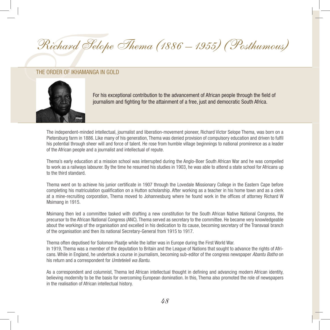# Richard Selope Richard Selope Thema (1886 – 1955) (Posthumous)



For his exceptional contribution to the advancement of African people through the field of journalism and fighting for the attainment of a free, just and democratic South Africa.

The independent-minded intellectual, journalist and liberation-movement pioneer, Richard Victor Selope Thema, was born on a Pietersburg farm in 1886. Like many of his generation, Thema was denied provision of compulsory education and driven to fulfil his potential through sheer will and force of talent. He rose from humble village beginnings to national prominence as a leader of the African people and a journalist and intellectual of repute.

Thema's early education at a mission school was interrupted during the Anglo-Boer South African War and he was compelled to work as a railways labourer. By the time he resumed his studies in 1903, he was able to attend a state school for Africans up to the third standard.

Thema went on to achieve his junior certificate in 1907 through the Lovedale Missionary College in the Eastern Cape before completing his matriculation qualification on a Hutton scholarship. After working as a teacher in his home town and as a clerk at a mine-recruiting corporation, Thema moved to Johannesburg where he found work in the offices of attorney Richard W Msimang in 1915.

Msimang then led a committee tasked with drafting a new constitution for the South African Native National Congress, the precursor to the African National Congress (ANC). Thema served as secretary to the committee. He became very knowledgeable about the workings of the organisation and excelled in his dedication to its cause, becoming secretary of the Transvaal branch of the organisation and then its national Secretary-General from 1915 to 1917.

Thema often deputised for Solomon Plaatje while the latter was in Europe during the First World War.

In 1919, Thema was a member of the deputation to Britain and the League of Nations that sought to advance the rights of Africans. While in England, he undertook a course in journalism, becoming sub-editor of the congress newspaper *Abantu Batho* on his return and a correspondent for *Umteteleli wa Bantu*.

As a correspondent and columnist, Thema led African intellectual thought in defining and advancing modern African identity, believing modernity to be the basis for overcoming European domination. In this, Thema also promoted the role of newspapers in the realisation of African intellectual history.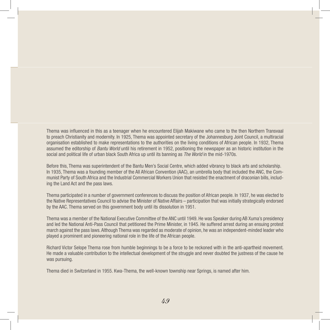Thema was influenced in this as a teenager when he encountered Elijah Makiwane who came to the then Northern Transvaal to preach Christianity and modernity. In 1925, Thema was appointed secretary of the Johannesburg Joint Council, a multiracial organisation established to make representations to the authorities on the living conditions of African people. In 1932, Thema assumed the editorship of *Bantu World* until his retirement in 1952, positioning the newspaper as an historic institution in the social and political life of urban black South Africa up until its banning as *The World* in the mid-1970s.

Before this, Thema was superintendent of the Bantu Men's Social Centre, which added vibrancy to black arts and scholarship. In 1935, Thema was a founding member of the All African Convention (AAC), an umbrella body that included the ANC, the Communist Party of South Africa and the Industrial Commercial Workers Union that resisted the enactment of draconian bills, including the Land Act and the pass laws.

Thema participated in a number of government conferences to discuss the position of African people. In 1937, he was elected to the Native Representatives Council to advise the Minister of Native Affairs – participation that was initially strategically endorsed by the AAC. Thema served on this government body until its dissolution in 1951.

Thema was a member of the National Executive Committee of the ANC until 1949. He was Speaker during AB Xuma's presidency and led the National Anti-Pass Council that petitioned the Prime Minister, in 1945. He suffered arrest during an ensuing protest march against the pass laws. Although Thema was regarded as moderate of opinion, he was an independent-minded leader who played a prominent and pioneering national role in the life of the African people.

Richard Victor Selope Thema rose from humble beginnings to be a force to be reckoned with in the anti-apartheid movement. He made a valuable contribution to the intellectual development of the struggle and never doubted the justness of the cause he was pursuing.

Thema died in Switzerland in 1955. Kwa-Thema, the well-known township near Springs, is named after him.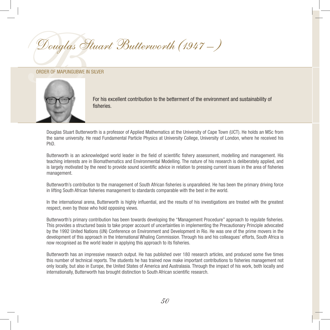BDouglas Stuart Butterworth (1947 – )

## Order of Mapungubwe in SILVER



For his excellent contribution to the betterment of the environment and sustainability of fisheries.

Douglas Stuart Butterworth is a professor of Applied Mathematics at the University of Cape Town (UCT). He holds an MSc from the same university. He read Fundamental Particle Physics at University College, University of London, where he received his PhD.

Butterworth is an acknowledged world leader in the field of scientific fishery assessment, modelling and management. His teaching interests are in Biomathematics and Environmental Modelling. The nature of his research is deliberately applied, and is largely motivated by the need to provide sound scientific advice in relation to pressing current issues in the area of fisheries management.

Butterworth's contribution to the management of South African fisheries is unparalleled. He has been the primary driving force in lifting South African fisheries management to standards comparable with the best in the world.

In the international arena, Butterworth is highly influential, and the results of his investigations are treated with the greatest respect, even by those who hold opposing views.

Butterworth's primary contribution has been towards developing the "Management Procedure" approach to regulate fisheries. This provides a structured basis to take proper account of uncertainties in implementing the Precautionary Principle advocated by the 1992 United Nations (UN) Conference on Environment and Development in Rio. He was one of the prime movers in the development of this approach in the International Whaling Commission. Through his and his colleagues' efforts, South Africa is now recognised as the world leader in applying this approach to its fisheries.

Butterworth has an impressive research output. He has published over 180 research articles, and produced some five times this number of technical reports. The students he has trained now make important contributions to fisheries management not only locally, but also in Europe, the United States of America and Australasia. Through the impact of his work, both locally and internationally, Butterworth has brought distinction to South African scientific research.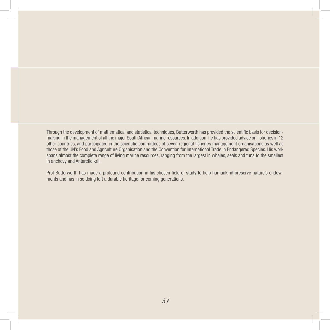Through the development of mathematical and statistical techniques, Butterworth has provided the scientific basis for decisionmaking in the management of all the major South African marine resources. In addition, he has provided advice on fisheries in 12 other countries, and participated in the scientific committees of seven regional fisheries management organisations as well as those of the UN's Food and Agriculture Organisation and the Convention for International Trade in Endangered Species. His work spans almost the complete range of living marine resources, ranging from the largest in whales, seals and tuna to the smallest in anchovy and Antarctic krill.

Prof Butterworth has made a profound contribution in his chosen field of study to help humankind preserve nature's endowments and has in so doing left a durable heritage for coming generations.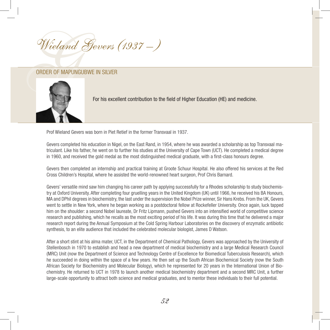Wieland Geve Wieland Gevers (1937 – )



For his excellent contribution to the field of Higher Education (HE) and medicine.

Prof Wieland Gevers was born in Piet Retief in the former Transvaal in 1937.

Gevers completed his education in Nigel, on the East Rand, in 1954, where he was awarded a scholarship as top Transvaal matriculant. Like his father, he went on to further his studies at the University of Cape Town (UCT). He completed a medical degree in 1960, and received the gold medal as the most distinguished medical graduate, with a first-class honours degree.

Gevers then completed an internship and practical training at Groote Schuur Hospital. He also offered his services at the Red Cross Children's Hospital, where he assisted the world-renowned heart surgeon, Prof Chris Barnard.

Gevers' versatile mind saw him changing his career path by applying successfully for a Rhodes scholarship to study biochemistry at Oxford University. After completing four gruelling years in the United Kingdom (UK) until 1966, he received his BA Honours, MA and DPhil degrees in biochemistry, the last under the supervision the Nobel Prize winner, Sir Hans Krebs. From the UK, Gevers went to settle in New York, where he began working as a postdoctoral fellow at Rockefeller University. Once again, luck tapped him on the shoulder: a second Nobel laureate, Dr Fritz Lipmann, pushed Gevers into an intensified world of competitive science research and publishing, which he recalls as the most exciting period of his life. It was during this time that he delivered a major research report during the Annual Symposium at the Cold Spring Harbour Laboratories on the discovery of enzymatic antibiotic synthesis, to an elite audience that included the celebrated molecular biologist, James D Watson.

After a short stint at his alma mater, UCT, in the Department of Chemical Pathology, Gevers was approached by the University of Stellenbosch in 1970 to establish and head a new department of medical biochemistry and a large Medical Research Council (MRC) Unit (now the Department of Science and Technology Centre of Excellence for Biomedical Tuberculosis Research), which he succeeded in doing within the space of a few years. He then set up the South African Biochemical Society (now the South African Society for Biochemistry and Molecular Biology), which he represented for 20 years in the International Union of Biochemistry. He returned to UCT in 1978 to launch another medical biochemistry department and a second MRC Unit, a further large-scale opportunity to attract both science and medical graduates, and to mentor these individuals to their full potential.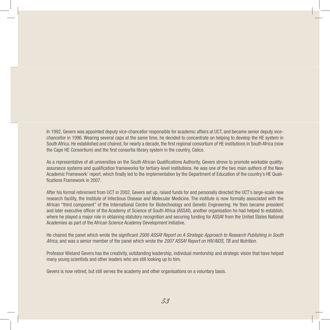In 1992, Gevers was appointed deputy vice-chancellor responsible for academic affairs at UCT, and became senior deputy vicechancellor in 1996. Wearing several caps at the same time, he decided to concentrate on helping to develop the HE system in South Africa. He established and chaired, for nearly a decade, the first regional consortium of HE institutions in South Africa (now the Cape HE Consortium) and the first consortia library system in the country, Calico.

As a representative of all universities on the South African Qualifications Authority, Gevers strove to promote workable qualityassurance systems and qualification frameworks for tertiary-level institutions. He was one of the two main authors of the New Academic Framework' report, which finally led to the implementation by the Department of Education of the country's HE Qualifications Framework in 2007.

After his formal retirement from UCT in 2002, Gevers set up, raised funds for and personally directed the UCT's large-scale new research facility, the Institute of Infectious Disease and Molecular Medicine. The institute is now formally associated with the African "third component" of the International Centre for Biotechnology and Genetic Engineering. He then became president and later executive officer of the Academy of Science of South Africa (ASSAf), another organisation he had helped to establish, where he played a major role in obtaining statutory recognition and securing funding for ASSAf from the United States National Academies as part of the African Science Academy Development Initiative.

He chaired the panel which wrote the significant *2006 ASSAf Report on A Strategic Approach to Research Publishing in South Africa*, and was a senior member of the panel which wrote the *2007 ASSAf Report on HIV/AIDS, TB and Nutrition*.

Professor Wieland Gevers has the creativity, outstanding leadership, individual mentorship and strategic vision that have helped many young scientists and other leaders who are still looking up to him.

Gevers is now retired, but still serves the academy and other organisations on a voluntary basis.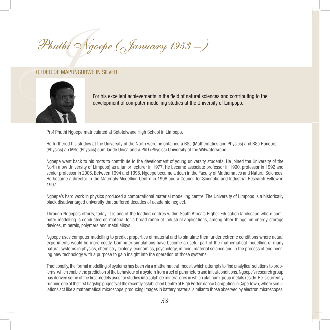Phuthi Ngoep Phuthi Ngoepe (January 1953 -)



For his excellent achievements in the field of natural sciences and contributing to the development of computer modelling studies at the University of Limpopo.

Prof Phuthi Ngoepe matriculated at Setotolwane High School in Limpopo.

He furthered his studies at the University of the North were he obtained a BSc (Mathematics and Physics) and BSc Honours (Physics) an MSc (Physics) cum laude Unisa and a PhD (Physics) University of the Witwatersrand.

Ngoepe went back to his roots to contribute to the development of young university students. He joined the University of the North (now University of Limpopo) as a junior lecturer in 1977. He became associate professor in 1990, professor in 1992 and senior professor in 2006. Between 1994 and 1996, Ngoepe became a dean in the Faculty of Mathematics and Natural Sciences. He became a director in the Materials Modelling Centre in 1996 and a Council for Scientific and Industrial Research Fellow in 1997.

Ngoepe's hard work in physics produced a computational material modelling centre. The University of Limpopo is a historically black disadvantaged university that suffered decades of academic neglect.

Through Ngoepe's efforts, today, it is one of the leading centres within South Africa's Higher Education landscape where computer modelling is conducted on material for a broad range of industrial applications; among other things, on energy-storage devices, minerals, polymers and metal alloys.

Ngoepe uses computer modelling to predict properties of material and to simulate them under extreme conditions where actual experiments would be more costly. Computer simulations have become a useful part of the mathematical modelling of many natural systems in physics, chemistry, biology, economics, psychology, mining, material science and in the process of engineering new technology with a purpose to gain insight into the operation of those systems.

Traditionally, the formal modelling of systems has been via a mathematical model, which attempts to find analytical solutions to problems, which enable the prediction of the behaviour of a system from a set of parameters and initial conditions. Ngoepe's research group has derived some of the first models used for studies into sulphide mineral ores in which platinum group metals reside. He is currently running one of the first flagship projects at the recently established Centre of High Performance Computing in Cape Town, where simulations act like a mathematical microscope, producing images in battery material similar to those observed by electron microscopes.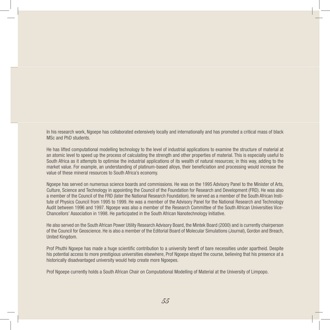In his research work, Ngoepe has collaborated extensively locally and internationally and has promoted a critical mass of black MSc and PhD students.

He has lifted computational modelling technology to the level of industrial applications to examine the structure of material at an atomic level to speed up the process of calculating the strength and other properties of material. This is especially useful to South Africa as it attempts to optimise the industrial applications of its wealth of natural resources; in this way, adding to the market value. For example, an understanding of platinum-based alloys, their beneficiation and processing would increase the value of these mineral resources to South Africa's economy.

Ngoepe has served on numerous science boards and commissions. He was on the 1995 Advisory Panel to the Minister of Arts, Culture, Science and Technology in appointing the Council of the Foundation for Research and Development (FRD). He was also a member of the Council of the FRD (later the National Research Foundation). He served as a member of the South African Institute of Physics Council from 1995 to 1999. He was a member of the Advisory Panel for the National Research and Technology Audit between 1996 and 1997. Ngoepe was also a member of the Research Committee of the South African Universities Vice-Chancellors' Association in 1998. He participated in the South African Nanotechnology Initiative.

He also served on the South African Power Utility Research Advisory Board, the Mintek Board (2000) and is currently chairperson of the Council for Geoscience. He is also a member of the Editorial Board of Molecular Simulations (Journal), Gordon and Breach, United Kingdom.

Prof Phuthi Ngoepe has made a huge scientific contribution to a university bereft of bare necessities under apartheid. Despite his potential access to more prestigious universities elsewhere, Prof Ngoepe stayed the course, believing that his presence at a historically disadvantaged university would help create more Ngoepes.

Prof Ngoepe currently holds a South African Chair on Computational Modelling of Material at the University of Limpopo.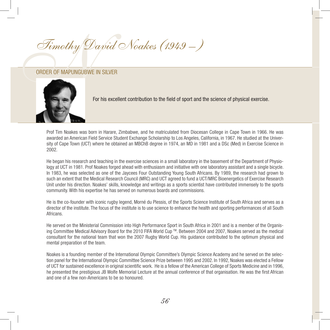Timothy David Timothy David Noakes (1949 – )



For his excellent contribution to the field of sport and the science of physical exercise.

Prof Tim Noakes was born in Harare, Zimbabwe, and he matriculated from Diocesan College in Cape Town in 1966. He was awarded an American Field Service Student Exchange Scholarship to Los Angeles, California, in 1967. He studied at the University of Cape Town (UCT) where he obtained an MBChB degree in 1974, an MD in 1981 and a DSc (Med) in Exercise Science in 2002.

He began his research and teaching in the exercise sciences in a small laboratory in the basement of the Department of Physiology at UCT in 1981. Prof Noakes forged ahead with enthusiasm and initiative with one laboratory assistant and a single bicycle. In 1983, he was selected as one of the Jaycees Four Outstanding Young South Africans. By 1989, the research had grown to such an extent that the Medical Research Council (MRC) and UCT agreed to fund a UCT/MRC Bioenergetics of Exercise Research Unit under his direction. Noakes' skills, knowledge and writings as a sports scientist have contributed immensely to the sports community. With his expertise he has served on numerous boards and commissions.

He is the co-founder with iconic rugby legend, Morné du Plessis, of the Sports Science Institute of South Africa and serves as a director of the institute. The focus of the institute is to use science to enhance the health and sporting performances of all South Africans.

He served on the Ministerial Commission into High Performance Sport in South Africa in 2001 and is a member of the Organising Committee Medical Advisory Board for the 2010 FIFA World Cup TM. Between 2004 and 2007, Noakes served as the medical consultant for the national team that won the 2007 Rugby World Cup. His guidance contributed to the optimum physical and mental preparation of the team.

Noakes is a founding member of the International Olympic Committee's Olympic Science Academy and he served on the selection panel for the International Olympic Committee Science Prize between 1995 and 2002. In 1992, Noakes was elected a Fellow of UCT for sustained excellence in original scientific work. He is a fellow of the American College of Sports Medicine and in 1996, he presented the prestigious JB Wolfe Memorial Lecture at the annual conference of that organisation. He was the first African and one of a few non-Americans to be so honoured.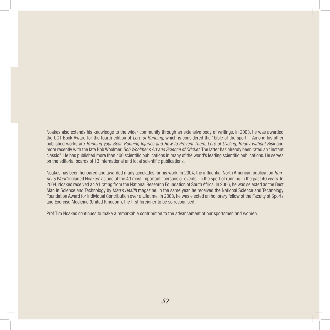Noakes also extends his knowledge to the wider community through an extensive body of writings. In 2003, he was awarded the UCT Book Award for the fourth edition of *Lore of Running*, which is considered the "bible of the sport". Among his other published works are *Running your Best, Running Injuries and How to Prevent Them, Lore of Cycling, Rugby without Risk* and more recently with the late Bob Woolmer, *Bob Woolmer's Art and Science of Cricket*. The latter has already been rated an "instant classic". He has published more than 400 scientific publications in many of the world's leading scientific publications. He serves on the editorial boards of 13 international and local scientific publications.

Noakes has been honoured and awarded many accolades for his work. In 2004, the influential North American publication *Runner's World* included Noakes' as one of the 40 most important "persons or events" in the sport of running in the past 40 years. In 2004, Noakes received an A1 rating from the National Research Foundation of South Africa. In 2006, he was selected as the Best Man in Science and Technology by *Men's Health* magazine. In the same year, he received the National Science and Technology Foundation Award for Individual Contribution over a Lifetime. In 2008, he was elected an honorary fellow of the Faculty of Sports and Exercise Medicine (United Kingdom), the first foreigner to be so recognised.

Prof Tim Noakes continues to make a remarkable contribution to the advancement of our sportsmen and women.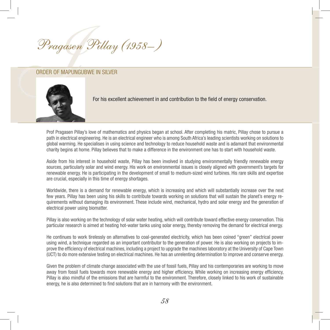Pragasen Pill Pragasen Pillay (1958– )



For his excellent achievement in and contribution to the field of energy conservation.

Prof Pragasen Pillay's love of mathematics and physics began at school. After completing his matric, Pillay chose to pursue a path in electrical engineering. He is an electrical engineer who is among South Africa's leading scientists working on solutions to global warming. He specialises in using science and technology to reduce household waste and is adamant that environmental charity begins at home. Pillay believes that to make a difference in the environment one has to start with household waste.

Aside from his interest in household waste, Pillay has been involved in studying environmentally friendly renewable energy sources, particularly solar and wind energy. His work on environmental issues is closely aligned with government's targets for renewable energy. He is participating in the development of small to medium-sized wind turbines. His rare skills and expertise are crucial, especially in this time of energy shortages.

Worldwide, there is a demand for renewable energy, which is increasing and which will substantially increase over the next few years. Pillay has been using his skills to contribute towards working on solutions that will sustain the planet's energy requirements without damaging its environment. These include wind, mechanical, hydro and solar energy and the generation of electrical power using biomatter.

Pillay is also working on the technology of solar water heating, which will contribute toward effective energy conservation. This particular research is aimed at heating hot-water tanks using solar energy, thereby removing the demand for electrical energy.

He continues to work tirelessly on alternatives to coal-generated electricity, which has been coined "green" electrical power using wind, a technique regarded as an important contributor to the generation of power. He is also working on projects to improve the efficiency of electrical machines, including a project to upgrade the machines laboratory at the University of Cape Town (UCT) to do more extensive testing on electrical machines. He has an unrelenting determination to improve and conserve energy.

Given the problem of climate change associated with the use of fossil fuels, Pillay and his contemporaries are working to move away from fossil fuels towards more renewable energy and higher efficiency. While working on increasing energy efficiency, Pillay is also mindful of the emissions that are harmful to the environment. Therefore, closely linked to his work of sustainable energy, he is also determined to find solutions that are in harmony with the environment.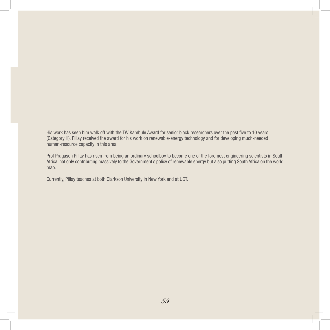His work has seen him walk off with the TW Kambule Award for senior black researchers over the past five to 10 years (Category H). Pillay received the award for his work on renewable-energy technology and for developing much-needed human-resource capacity in this area.

Prof Pragasen Pillay has risen from being an ordinary schoolboy to become one of the foremost engineering scientists in South Africa, not only contributing massively to the Government's policy of renewable energy but also putting South Africa on the world map.

Currently, Pillay teaches at both Clarkson University in New York and at UCT.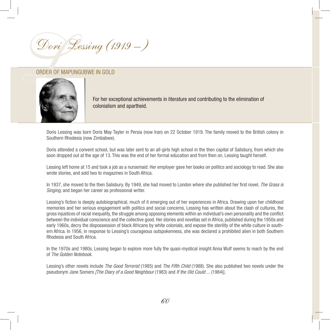



For her exceptional achievements in literature and contributing to the elimination of colonialism and apartheid.

Doris Lessing was born Doris May Tayler in Persia (now Iran) on 22 October 1919. The family moved to the British colony in Southern Rhodesia (now Zimbabwe).

Doris attended a convent school, but was later sent to an all-girls high school in the then capital of Salisbury, from which she soon dropped out at the age of 13. This was the end of her formal education and from then on, Lessing taught herself.

Lessing left home at 15 and took a job as a nursemaid. Her employer gave her books on politics and sociology to read. She also wrote stories, and sold two to magazines in South Africa.

In 1937, she moved to the then Salisbury. By 1949, she had moved to London where she published her first novel, *The Grass is Singing*, and began her career as professional writer.

Lessing's fiction is deeply autobiographical, much of it emerging out of her experiences in Africa. Drawing upon her childhood memories and her serious engagement with politics and social concerns, Lessing has written about the clash of cultures, the gross injustices of racial inequality, the struggle among opposing elements within an individual's own personality and the conflict between the individual conscience and the collective good. Her stories and novellas set in Africa, published during the 1950s and early 1960s, decry the dispossession of black Africans by white colonials, and expose the sterility of the white culture in southern Africa. In 1956, in response to Lessing's courageous outspokenness, she was declared a prohibited alien in both Southern Rhodesia and South Africa.

In the 1970s and 1980s, Lessing began to explore more fully the quasi-mystical insight Anna Wulf seems to reach by the end of *The Golden Notebook.*

Lessing's other novels include *The Good Terrorist* (1985) and *The Fifth Child* (1988). She also published two novels under the pseudonym Jane Somers *[The Diary of a Good Neighbour* (1983) and *If the Old Could ...* (1984)].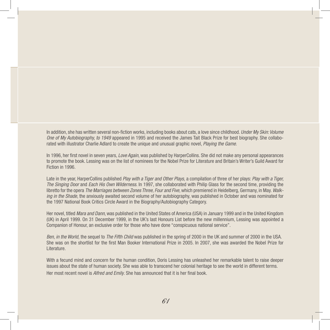In addition, she has written several non-fiction works, including books about cats, a love since childhood. *Under My Skin: Volume One of My Autobiography, to 1949* appeared in 1995 and received the James Tait Black Prize for best biography. She collaborated with illustrator Charlie Adlard to create the unique and unusual graphic novel, *Playing the Game*.

In 1996, her first novel in seven years, *Love Again*, was published by HarperCollins. She did not make any personal appearances to promote the book. Lessing was on the list of nominees for the Nobel Prize for Literature and Britain's Writer's Guild Award for Fiction in 1996.

Late in the year, HarperCollins published *Play with a Tiger and Other Plays,* a compilation of three of her plays: *Play with a Tiger, The Singing Door* and *Each His Own Wilderness*. In 1997, she collaborated with Philip Glass for the second time, providing the libretto for the opera *The Marriages between Zones Three, Four and Five*,which premiered in Heidelberg, Germany, in May. *Walking in the Shade*, the anxiously awaited second volume of her autobiography, was published in October and was nominated for the 1997 National Book Critics Circle Award in the Biography/Autobiography Category.

Her novel, titled *Mara and Dann*, was published in the United States of America (USA) in January 1999 and in the United Kingdom (UK) in April 1999. On 31 December 1999, in the UK's last Honours List before the new millennium, Lessing was appointed a Companion of Honour, an exclusive order for those who have done "conspicuous national service".

*Ben, in the World,* the sequel to *The Fifth Child* was published in the spring of 2000 in the UK and summer of 2000 in the USA. She was on the shortlist for the first Man Booker International Prize in 2005. In 2007, she was awarded the Nobel Prize for Literature.

With a fecund mind and concern for the human condition, Doris Lessing has unleashed her remarkable talent to raise deeper issues about the state of human society. She was able to transcend her colonial heritage to see the world in different terms. Her most recent novel is *Alfred and Emily*. She has announced that it is her final book.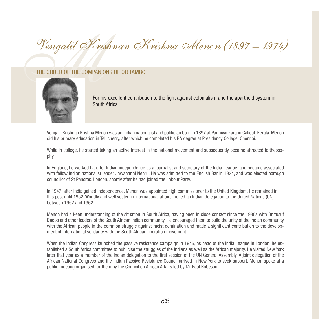Vengalil Krishnan O Vengalil Krishnan Krishna Menon (1897 – 1974)



For his excellent contribution to the fight against colonialism and the apartheid system in South Africa.

Vengalil Krishnan Krishna Menon was an Indian nationalist and politician born in 1897 at Panniyankara in Calicut, Kerala. Menon did his primary education in Tellicherry, after which he completed his BA degree at Presidency College, Chennai.

While in college, he started taking an active interest in the national movement and subsequently became attracted to theosophy.

In England, he worked hard for Indian independence as a journalist and secretary of the India League, and became associated with fellow Indian nationalist leader Jawaharlal Nehru. He was admitted to the English Bar in 1934, and was elected borough councillor of St Pancras, London, shortly after he had joined the Labour Party.

In 1947, after India gained independence, Menon was appointed high commissioner to the United Kingdom. He remained in this post until 1952. Worldly and well vested in international affairs, he led an Indian delegation to the United Nations (UN) between 1952 and 1962.

Menon had a keen understanding of the situation in South Africa, having been in close contact since the 1930s with Dr Yusuf Dadoo and other leaders of the South African Indian community. He encouraged them to build the unity of the Indian community with the African people in the common struggle against racist domination and made a significant contribution to the development of international solidarity with the South African liberation movement.

When the Indian Congress launched the passive resistance campaign in 1946, as head of the India League in London, he established a South Africa committee to publicise the struggles of the Indians as well as the African majority. He visited New York later that year as a member of the Indian delegation to the first session of the UN General Assembly. A joint delegation of the African National Congress and the Indian Passive Resistance Council arrived in New York to seek support. Menon spoke at a public meeting organised for them by the Council on African Affairs led by Mr Paul Robeson.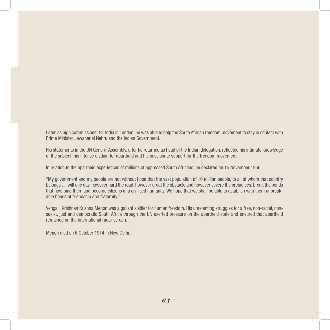Later, as high commissioner for India in London, he was able to help the South African freedom movement to stay in contact with Prime Minister Jawaharlal Nehru and the Indian Government.

His statements in the UN General Assembly, after he returned as head of the Indian delegation, reflected his intimate knowledge of the subject, his intense disdain for apartheid and his passionate support for the freedom movement.

In relation to the apartheid experiences of millions of oppressed South Africans, he declared on 15 November 1956:

"My government and my people are not without hope that the vast population of 10 million people, to all of whom that country belongs … will one day, however hard the road, however great the obstacle and however severe the prejudices, break the bonds that now bind them and become citizens of a civilised humanity. We hope that we shall be able to establish with them unbreakable bonds of friendship and fraternity."

Vengalil Krishnan Krishna Menon was a gallant soldier for human freedom. His unrelenting struggles for a free, non-racial, nonsexist, just and democratic South Africa through the UN exerted pressure on the apartheid state and ensured that apartheid remained on the international radar screen.

Menon died on 6 October 1974 in New Delhi.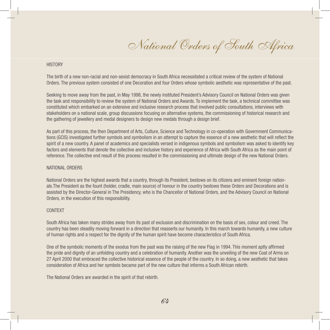National Orders of South Africa

## **HISTORY**

The birth of a new non-racial and non-sexist democracy in South Africa necessitated a critical review of the system of National Orders. The previous system consisted of one Decoration and four Orders whose symbolic aesthetic was representative of the past.

Seeking to move away from the past, in May 1998, the newly instituted President's Advisory Council on National Orders was given the task and responsibility to review the system of National Orders and Awards. To implement the task, a technical committee was constituted which embarked on an extensive and inclusive research process that involved public consultations, interviews with stakeholders on a national scale, group discussions focusing on alternative systems, the commissioning of historical research and the gathering of jewellery and medal designers to design new medals through a design brief.

As part of this process, the then Department of Arts, Culture, Science and Technology in co-operation with Government Communications (GCIS) investigated further symbols and symbolism in an attempt to capture the essence of a new aesthetic that will reflect the spirit of a new country. A panel of academics and specialists versed in indigenous symbols and symbolism was asked to identify key factors and elements that denote the collective and inclusive history and experience of Africa with South Africa as the main point of reference. The collective end result of this process resulted in the commissioning and ultimate design of the new National Orders.

### NATIONAL ORDERS

National Orders are the highest awards that a country, through its President, bestows on its citizens and eminent foreign nationals.The President as the fount (holder, cradle, main source) of honour in the country bestows these Orders and Decorations and is assisted by the Director-General in The Presidency, who is the Chancellor of National Orders, and the Advisory Council on National Orders, in the execution of this responsibility.

## CONTEXT

South Africa has taken many strides away from its past of exclusion and discrimination on the basis of sex, colour and creed. The country has been steadily moving forward in a direction that reasserts our humanity. In this march towards humanity, a new culture of human rights and a respect for the dignity of the human spirit have become characteristics of South Africa.

One of the symbolic moments of the exodus from the past was the raising of the new Flag in 1994. This moment aptly affirmed the pride and dignity of an unfolding country and a celebration of humanity. Another was the unveiling of the new Coat of Arms on 27 April 2000 that embraced the collective historical essence of the people of the country. In so doing, a new aesthetic that takes consideration of Africa and her symbols became part of the new culture that informs a South African rebirth.

The National Orders are awarded in the spirit of that rebirth.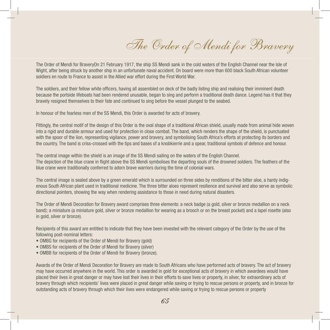The Order of Mendi for Bravery

The Order of Mendi for BraveryOn 21 February 1917, the ship SS Mendi sank in the cold waters of the English Channel near the Isle of Wight, after being struck by another ship in an unfortunate naval accident. On board were more than 600 black South African volunteer soldiers en route to France to assist in the Allied war effort during the First World War.

The soldiers, and their fellow white officers, having all assembled on deck of the badly listing ship and realising their imminent death because the portside lifeboats had been rendered unusable, began to sing and perform a traditional death dance. Legend has it that they bravely resigned themselves to their fate and continued to sing before the vessel plunged to the seabed.

In honour of the fearless men of the SS Mendi, this Order is awarded for acts of bravery.

Fittingly, the central motif of the design of this Order is the oval shape of a traditional African shield, usually made from animal hide woven into a rigid and durable armour and used for protection in close combat. The band, which renders the shape of the shield, is punctuated with the spoor of the lion, representing vigilance, power and bravery, and symbolising South Africa's efforts at protecting its borders and the country. The band is criss-crossed with the tips and bases of a knobkierrie and a spear, traditional symbols of defence and honour.

The central image within the shield is an image of the SS Mendi sailing on the waters of the English Channel. The depiction of the blue crane in flight above the SS Mendi symbolises the departing souls of the drowned soldiers. The feathers of the blue crane were traditionally conferred to adorn brave warriors during the time of colonial wars.

The central image is sealed above by a green emerald which is surrounded on three sides by renditions of the bitter aloe, a hardy indigenous South African plant used in traditional medicine. The three bitter aloes represent resilience and survival and also serve as symbolic directional pointers, showing the way when rendering assistance to those in need during natural disasters.

The Order of Mendi Decoration for Bravery award comprises three elements: a neck badge (a gold, silver or bronze medallion on a neck band); a miniature (a miniature gold, silver or bronze medallion for wearing as a brooch or on the breast pocket) and a lapel rosette (also in gold, silver or bronze).

Recipients of this award are entitled to indicate that they have been invested with the relevant category of the Order by the use of the following post-nominal letters:

- OMBG for recipients of the Order of Mendi for Bravery (gold)
- OMBS for recipients of the Order of Mendi for Bravery (silver)
- OMBB for recipients of the Order of Mendi for Bravery (bronze).

Awards of the Order of Mendi Decoration for Bravery are made to South Africans who have performed acts of bravery. The act of bravery may have occurred anywhere in the world. This order is awarded in gold for exceptional acts of bravery in which awardees would have placed their lives in great danger or may have lost their lives in their efforts to save lives or property, in silver, for extraordinary acts of bravery through which recipients' lives were placed in great danger while saving or trying to rescue persons or property, and in bronze for outstanding acts of bravery through which their lives were endangered while saving or trying to rescue persons or property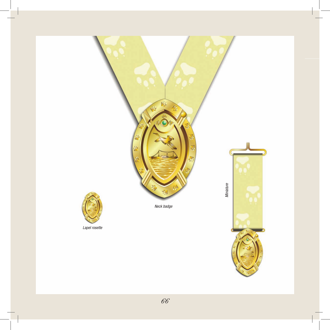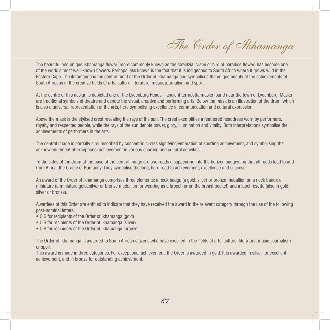The Order of Ikhamanga

The beautiful and unique ikhamanga flower (more commonly known as the strelitzia, crane or bird of paradise flower) has become one of the world's most well-known flowers. Perhaps less known is the fact that it is indigenous to South Africa where it grows wild in the Eastern Cape. The ikhamanga is the central motif of the Order of Ikhamanga and symbolises the unique beauty of the achievements of South Africans in the creative fields of arts, culture, literature, music, journalism and sport.

At the centre of this design is depicted one of the Lydenburg Heads – ancient terracotta masks found near the town of Lydenburg. Masks are traditional symbols of theatre and denote the visual, creative and performing arts. Below the mask is an illustration of the drum, which is also a universal representation of the arts, here symbolising excellence in communication and cultural expression.

Above the mask is the stylised crest revealing the rays of the sun. The crest exemplifies a feathered headdress worn by performers, royalty and respected people, while the rays of the sun denote power, glory, illumination and vitality. Both interpretations symbolise the achievements of performers in the arts.

The central image is partially circumscribed by concentric circles signifying veneration of sporting achievement, and symbolising the acknowledgement of exceptional achievement in various sporting and cultural activities.

To the sides of the drum at the base of the central image are two roads disappearing into the horizon suggesting that all roads lead to and from Africa, the Cradle of Humanity. They symbolise the long, hard road to achievement, excellence and success.

An award of the Order of Ikhamanga comprises three elements: a neck badge (a gold, silver or bronze medallion on a neck band); a miniature (a miniature gold, silver or bronze medallion for wearing as a brooch or on the breast pocket) and a lapel rosette (also in gold, silver or bronze).

Awardees of this Order are entitled to indicate that they have received the award in the relevant category through the use of the following post-nominal letters:

- OIG for recipients of the Order of Ikhamanga (gold)
- OIS for recipients of the Order of Ikhamanga (silver)
- OIB for recipients of the Order of Ikhamanga (bronze).

The Order of Ikhamanga is awarded to South African citizens who have excelled in the fields of arts, culture, literature, music, journalism or sport.

This award is made in three categories. For exceptional achievement, the Order is awarded in gold. It is awarded in silver for excellent achievement, and in bronze for outstanding achievement.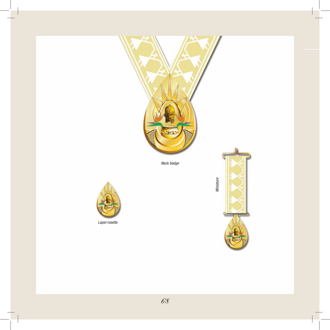

*Neck badge*



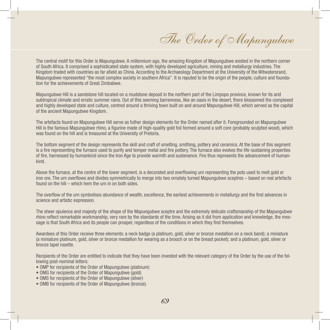The Order of Mapungubwe

The central motif for this Order is Mapungubwe. A millennium ago, the amazing Kingdom of Mapungubwe existed in the northern corner of South Africa. It comprised a sophisticated state system, with highly developed agriculture, mining and metallurgy industries. The Kingdom traded with countries as far afield as China. According to the Archaeology Department at the University of the Witwatersrand, Mapungubwe represented "the most complex society in southern Africa". It is reputed to be the origin of the people, culture and foundation for the achievements of Great Zimbabwe.

Mapungubwe Hill is a sandstone hill located on a mudstone deposit in the northern part of the Limpopo province, known for its arid subtropical climate and erratic summer rains. Out of this seeming barrenness, like an oasis in the desert, there blossomed the complexed and highly developed state and culture, centred around a thriving town built on and around Mapungubwe Hill, which served as the capital of the ancient Mapungubwe Kingdom.

The artefacts found on Mapungubwe Hill serve as futher design elements for the Order named after it. Foregrounded on Mapungubwe Hill is the famous Mapungubwe rhino, a figurine made of high-quality gold foil formed around a soft core (probably sculpted wood), which was found on the hill and is treasured at the University of Pretoria.

The bottom segment of the design represents the skill and craft of smelting, smithing, pottery and ceramics. At the base of this segment is a fire representing the furnace used to purify and temper metal and fire pottery. The furnace also evokes the life-sustaining properties of fire, harnessed by humankind since the Iron Age to provide warmth and sustenance. Fire thus represents the advancement of humankind.

Above the furnace, at the centre of the lower segment, is a decorated and overflowing urn representing the pots used to melt gold or iron ore. The urn overflows and divides symmetrically to merge into two ornately turned Mapungubwe sceptres – based on real artefacts found on the hill – which hem the urn in on both sides.

The overflow of the urn symbolises abundance of wealth, excellence, the earliest achievements in metallurgy and the first advances in science and artistic expression.

The sheer opulence and majesty of the shape of the Mapungubwe sceptre and the extremely delicate craftsmanship of the Mapungubwe rhino reflect remarkable workmanship, very rare by the standards of the time. Arising as it did from application and knowledge, the message is that South Africa and its people can prosper, regardless of the conditions in which they find themselves.

Awardees of this Order receive three elements: a neck badge (a platinum, gold, silver or bronze medallion on a neck band); a miniature (a miniature platinum, gold, silver or bronze medallion for wearing as a brooch or on the breast pocket); and a platinum, gold, silver or bronze lapel rosette.

Recipients of the Order are entitled to indicate that they have been invested with the relevant category of the Order by the use of the following post-nominal letters:

- OMP for recipients of the Order of Mapungubwe (platinum)
- OMG for recipients of the Order of Mapungubwe (gold)
- OMS for recipients of the Order of Mapungubwe (silver)
- OMB for recipients of the Order of Mapungubwe (bronze).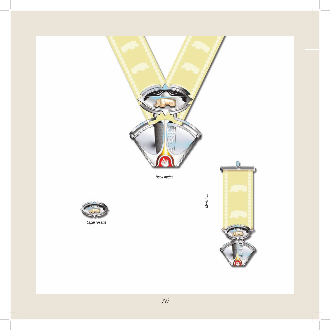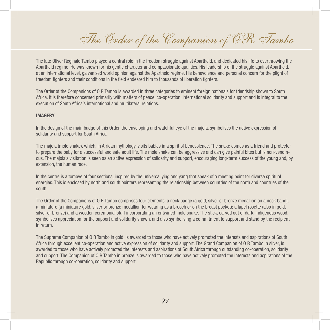The Order of the Companion of OR Tambo

The late Oliver Reginald Tambo played a central role in the freedom struggle against Apartheid, and dedicated his life to overthrowing the Apartheid regime. He was known for his gentle character and compassionate qualities. His leadership of the struggle against Apartheid, at an international level, galvanised world opinion against the Apartheid regime. His benevolence and personal concern for the plight of freedom fighters and their conditions in the field endeared him to thousands of liberation fighters.

The Order of the Companions of O R Tambo is awarded in three categories to eminent foreign nationals for friendship shown to South Africa. It is therefore concerned primarily with matters of peace, co-operation, international solidarity and support and is integral to the execution of South Africa's international and multilateral relations.

### **Imagery**

In the design of the main badge of this Order, the enveloping and watchful eye of the majola, symbolises the active expression of solidarity and support for South Africa.

The majola (mole snake), which, in African mythology, visits babies in a spirit of benevolence. The snake comes as a friend and protector to prepare the baby for a successful and safe adult life. The mole snake can be aggressive and can give painful bites but is non-venomous. The majola's visitation is seen as an active expression of solidarity and support, encouraging long-term success of the young and, by extension, the human race.

In the centre is a tomoye of four sections, inspired by the universal ying and yang that speak of a meeting point for diverse spiritual energies. This is enclosed by north and south pointers representing the relationship between countries of the north and countries of the south.

The Order of the Companions of O R Tambo comprises four elements: a neck badge (a gold, silver or bronze medallion on a neck band); a miniature (a miniature gold, silver or bronze medallion for wearing as a brooch or on the breast pocket); a lapel rosette (also in gold, silver or bronze) and a wooden ceremonial staff incorporating an entwined mole snake. The stick, carved out of dark, indigenous wood, symbolises appreciation for the support and solidarity shown, and also symbolising a commitment to support and stand by the recipient in return.

The Supreme Companion of O R Tambo in gold, is awarded to those who have actively promoted the interests and aspirations of South Africa through excellent co-operation and active expression of solidarity and support. The Grand Companion of O R Tambo in silver, is awarded to those who have actively promoted the interests and aspirations of South Africa through outstanding co-operation, solidarity and support. The Companion of O R Tambo in bronze is awarded to those who have actively promoted the interests and aspirations of the Republic through co-operation, solidarity and support.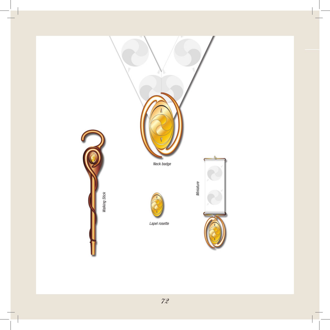